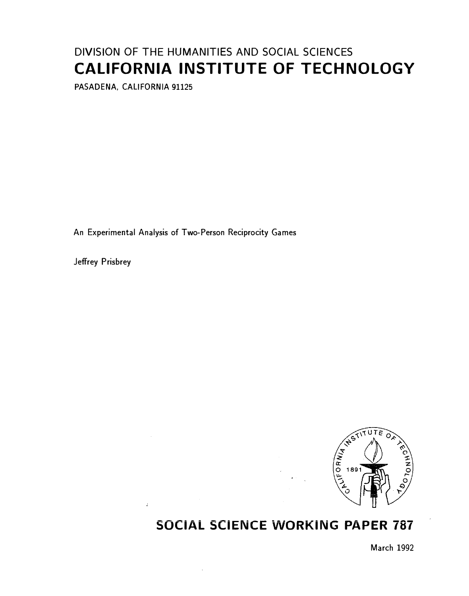# DIVISION OF THE HUMANITIES AND SOCIAL SCIENCES CALIFORNIA INSTITUTE OF TECHNOLOGY

PASADENA, CALIFORNIA 91125

An Experimental Analysis of Two-Person Reciprocity Games

 $\mathbb{R}^2$ 

Jeffrey Prisbrey



# SOCIAL SCIENCE WORKING PAPER 787

March 1992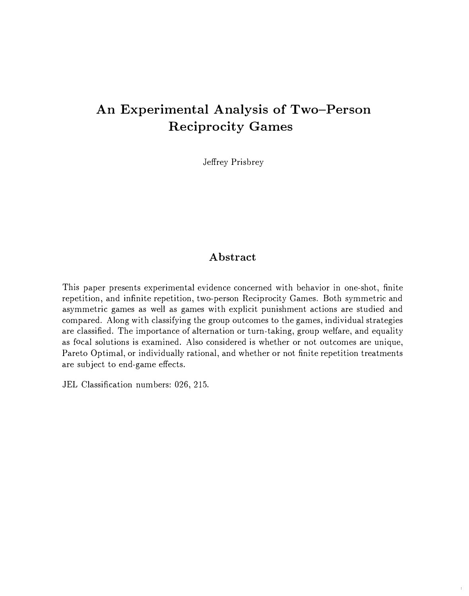# An Experimental Analysis of Two-Person Reciprocity Games

Jeffrey Prisbrey

#### Abstract

This paper presents experimental evidence concerned with behavior in one-shot, finite repetition, and infinite repetition, two-person Reciprocity Games. Both symmetric and asymmetric games as well as games with explicit punishment actions are studied and compared. Along with classifying the group outcomes to the games, individual strategies are classified. The importance of alternation or turn-taking, group welfare, and equality as focal solutions is examined. Also considered is whether or not outcomes are unique, Pareto Optimal, or individually rational, and whether or not finite repetition treatments are subject to end-game effects.

JEL Classification numbers: 026, 215.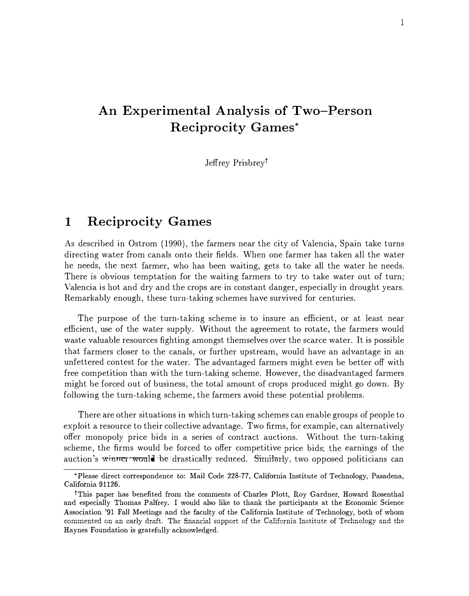# An Experimental Analysis of Two-Person Reciprocity Games\*

Jeffrey Prisbrey<sup>†</sup>

## 1 Reciprocity Games

As described in Ostrom (1990), the farmers near the city of Valencia, Spain take turns directing water from canals onto their fields. When one farmer has taken all the water he needs, the next farmer, who has been waiting, gets to take all the water he needs. There is obvious temptation for the waiting farmers to try to take water out of turn; Valencia is hot and dry and the crops are in constant danger, especially in drought years. Remarkably enough, these turn-taking schemes have survived for centuries.

The purpose of the turn-taking scheme is to insure an efficient, or at least near efficient, use of the water supply. \Vithout the agreement to rotate, the farmers would waste valuable resources fighting amongst themselves over the scarce water. It is possible that farmers closer to the canals, or further upstream, would have an advantage in an unfettered contest for the water. The advantaged farmers might even be better off with free competition than with the turn-taking scheme. However, the disadvantaged farmers might be forced out of business, the total amount of crops produced might go down. By following the turn-taking scheme, the farmers avoid these potential problems.

There are other situations in which turn-taking schemes can enable groups of people to exploit a resource to their collective advantage. Two firms, for example, can alternatively offer monopoly price bids in a series of contract auctions. Without the turn-taking scheme, the firms would be forced to offer competitive price bids; the earnings of the auction's winner-would be drastically reduced. Similarly, two opposed politicians can

<sup>•</sup>Please direct correspondence to: Mail Code 228-77, California Institute of Technology, Pasadena, California 91126.

<sup>1</sup>This paper has benefited from the comments of Charles Plott, Roy Gardner, Howard Rosenthal and especially Thomas Palfrey. I would also like to thank the participants at the Economic Science Association '91 Fall Meetings and the faculty of the California Institute of Technology, both of whom commented on an early draft. The financial support of the California Institute of Technology and the Haynes Foundation is gratefully acknowledged.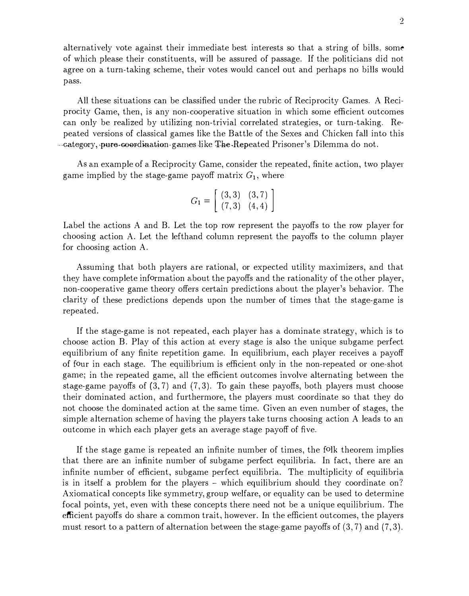alternatively vote against their immediate best interests so that a string of bills, some of which please their constituents, will be assured of passage. If the politicians did not agree on a turn-taking scheme, their votes would cancel out and perhaps no bills would pass.

All these situations can be classified under the rubric of Reciprocity Games. A Reciprocity Game, then, is any non-cooperative situation in which some efficient outcomes can only be realized by utilizing non-trivial correlated strategies, or turn-taking. Repeated versions of classical games like the Battle of the Sexes and Chicken fall into this ... category, pure-coordination games like The-Repeated Prisoner's Dilemma do not.

As an example of a Reciprocity Game, consider the repeated, finite action, two player game implied by the stage-game payoff matrix  $G_1$ , where  $G_1 = \begin{bmatrix} (3,3) & (3,7) \\ (7,3) & (4,4) \end{bmatrix}$ 

$$
G_1 = \left[ \begin{array}{cc} (3,3) & (3,7) \\ (7,3) & (4,4) \end{array} \right]
$$

Label the actions A and B. Let the top row represent the payoffs to the row player for choosing action A. Let the lefthand column represent the payoffs to the column player for choosing action A.

Assuming that both players are rational, or expected utility maximizers, and that they have complete information about the payoffs and the rationality of the other player, non-cooperative game theory offers certain predictions about the player's behavior. The clarity of these predictions depends upon the number of times that the stage-game is repeated.

If the stage-game is not repeated, each player has a dominate strategy, which is to choose action B. Play of this action at every stage is also the unique subgame perfect equilibrium of any finite repetition game. In equilibrium, each player receives a payoff of four in each stage. The equilibrium is efficient only in the non-repeated or one-shot game; in the repeated game, all the efficient outcomes involve alternating between the stage-game payoffs of  $(3, 7)$  and  $(7, 3)$ . To gain these payoffs, both players must choose their dominated action, and furthermore, the players must coordinate so that they do not choose the dominated action at the same time. Given an even number of stages, the simple alternation scheme of having the players take turns choosing action A leads to an outcome in which each player gets an average stage payoff of five.

If the stage game is repeated an infinite number of times, the folk theorem implies that there are an infinite number of subgame perfect equilibria. In fact, there are an infinite number of efficient, subgame perfect equilibria.. The multiplicity of equilibria is in itself a problem for the players - which equilibrium should they coordinate on? Axiomatical concepts like symmetry, group welfare, or equality can be used to determine focal points, yet, even with these concepts there need not be a unique equilibrium. The efficient payoffs do share a common trait, however. In the efficient outcomes, the players must resort to a pattern of alternation between the stage-game payoffs of (3, 7) and (7, 3).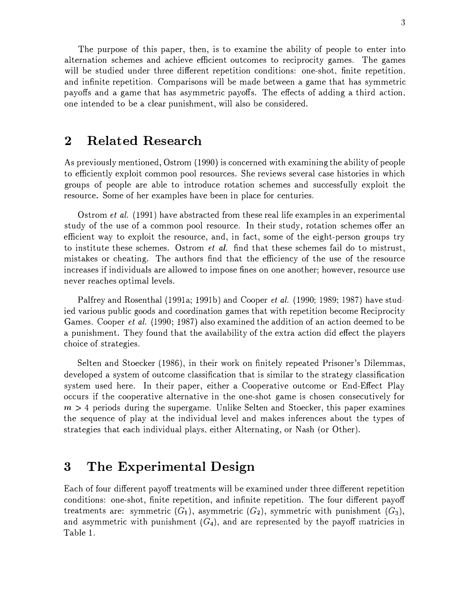The purpose of this paper, then, is to examine the ability of people to enter into alternation schemes and achieve efficient outcomes to reciprocity games. The games will be studied under three different repetition conditions: one-shot, finite repetition, and infinite repetition. Comparisons will be made between a game that has symmetric payoffs and a. game that has asymmetric payoffs. The effects of adding a third action. one intended to be a clear punishment, will also be considered.

### 2 Related Research

As previously mentioned, Ostrom (1990) is concerned with examining the ability of people to efficiently exploit common pool resources. She reviews several case histories in which groups of people are able to introduce rotation schemes and successfully exploit the resource. Some of her examples have been in place for centuries.

Ostrom et al. (1991) have abstracted from these real life examples in an experimental study of the use of a common pool resource. In their study, rotation schemes offer an efficient way to exploit the resource, and, in fact, some of the eight-person groups try to institute these schemes. Ostrom *et al.* find that these schemes fail do to mistrust, mistakes or cheating. The authors find that the efficiency of the use of the resource increases if individuals are allowed to impose fines on one another; however, resource use never reaches optimal levels.

Palfrey and Rosenthal (1991a; 1991b) and Cooper *et al.* (1990; 1989; 1987) have studied various public goods and coordination games that with repetition become Reciprocity Games. Cooper et al. (1990; 1987) also examined the addition of an action deemed to be a punishment. They found that the availability of the extra action did effect the players choice of strategies.

Selten and Stoecker (1986), in their work on finitely repeated Prisoner's Dilemmas, developed a system of outcome classification that is similar to the strategy classification system used here. In their paper, either a Cooperative outcome or End-Effect Play occurs if the cooperative alternative in the one-shot game is chosen consecutively for  $m > 4$  periods during the supergame. Unlike Selten and Stoecker, this paper examines the sequence of play at the individual level and makes inferences about the types of strategies that each individual plays, either Alternating, or Nash (or Other).

# 3 The Experimental Design

Each of four different payoff treatments will be examined under three different repetition conditions: one-shot, finite repetition, and infinite repetition. The four different payoff treatments are: symmetric  $(G_1)$ , asymmetric  $(G_2)$ , symmetric with punishment  $(G_3)$ , and asymmetric with punishment  $(G_4)$ , and are represented by the payoff matricies in Table 1.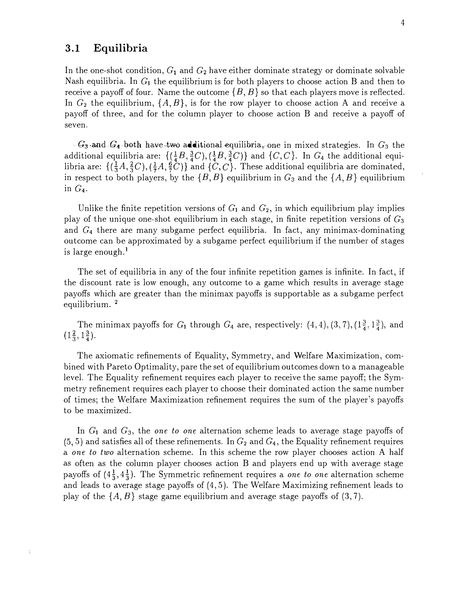#### 3.1 Equilibria

In the one-shot condition,  $G_1$  and  $G_2$  have either dominate strategy or dominate solvable Nash equilibria. In  $G_1$  the equilibrium is for both players to choose action B and then to receive a payoff of four. Name the outcome  $\{B, B\}$  so that each players move is reflected. In  $G_2$  the equilibrium,  $\{A, B\}$ , is for the row player to choose action A and receive a payoff of three, and for the column player to choose action B and receive a payoff of seven.

 $-G_3$  and  $G_4$  both have two additional equilibria, one in mixed strategies. In  $G_3$  the additional equilibria are:  $\{(\frac{1}{4}B, \frac{3}{4}C), (\frac{1}{4}B, \frac{3}{4}C)\}$  and  $\{C, C\}$ . In  $G_4$  the additional equilibria are:  $\{(\frac{1}{3}A, \frac{2}{3}C), (\frac{1}{7}A, \frac{6}{7}C)\}$  and  $\{C, C\}$ . These additional equilibria are dominated, in respect to both players, by the  $\{B, B\}$  equilibrium in  $G_3$  and the  $\{A, B\}$  equilibrium in  $G_4$ .

Unlike the finite repetition versions of  $G_1$  and  $G_2$ , in which equilibrium play implies play of the unique one-shot equilibrium in each stage, in finite repetition versions of  $G_3$ and  $G_4$  there are many subgame perfect equilibria. In fact, any minimax-dominating outcome can be approximated by a subgame perfect equilibrium if the number of stages is large enough.<sup>1</sup>

The set of equilibria in any of the four infinite repetition games is infinite. In fact, if the discount rate is low enough, any outcome to a game which results in average stage payoffs which are greater than the minimax payoffs is supportable as a subgame perfect equilibrium. <sup>2</sup>

The minimax payoffs for  $G_1$  through  $G_4$  are, respectively:  $(4, 4), (3, 7), (1\frac{3}{4}, 1\frac{3}{4}),$  and  $(1\frac{2}{3}, 1\frac{3}{4}).$ 

The axiomatic refinements of Equality, Symmetry, and \Nelfare Maximization, combined with Pareto Optimality, pare the set of equilibrium outcomes down to a manageable level. The Equality refinement requires each player to receive the same payoff; the Symmetry refinement requires each player to choose their dominated action the same number of times; the Welfare Maximization refinement requires the sum of the player's payoffs to be maximized.

In  $G_1$  and  $G_3$ , the one to one alternation scheme leads to average stage payoffs of  $(5, 5)$  and satisfies all of these refinements. In  $G_2$  and  $G_4$ , the Equality refinement requires a one to two alternation scheme. In this scheme the row player chooses action A half as often as the column player chooses action B and players end up with average stage payoffs of  $(4\frac{1}{3}, 4\frac{1}{3})$ . The Symmetric refinement requires a one to one alternation scheme and leads to average stage payoffs of (4, 5). The Welfare Maximizing refinement leads to play of the  $\{A, B\}$  stage game equilibrium and average stage payoffs of (3,7).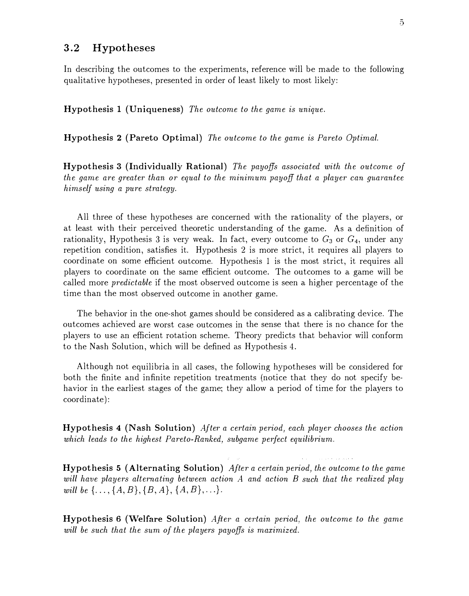#### 3.2 Hypotheses

In describing the outcomes to the experiments, reference will be made to the following qualitative hypotheses, presented in order of least likely to most likely:

Hypothesis 1 (Uniqueness) The outcome to the game is unique.

Hypothesis 2 (Pareto Optimal) The outcome to the game is Pareto Optimal.

Hypothesis 3 (Individually Rational) The payoffs associated with the outcome of the game are greater than or equal to the minimum payoff that a player can guarantee himself using a pure strategy.

All three of these hypotheses are concerned with the rationality of the players, or at least with their perceived theoretic understanding of the game. As a definition of rationality, Hypothesis 3 is very weak. In fact, every outcome to  $G_3$  or  $G_4$ , under any repetition condition, satisfies it. Hypothesis 2 is more strict, it requires all players to coordinate on some efficient outcome. Hypothesis 1 is the most strict, it requires all players to coordinate on the same efficient outcome. The outcomes to a game will be called more predictable if the most observed outcome is seen a higher percentage of the time than the most observed outcome in another game.

The behavior in the one-shot games should be considered as a calibrating device. The outcomes achieved are worst case outcomes in the sense that there is no chance for the players to use an efficient rotation scheme. Theory predicts that behavior will conform to the Nash Solution, which will be defined as Hypothesis 4.

Although not equilibria in all cases, the following hypotheses will be considered for both the finite and infinite repetition treatments (notice that they do not specify behavior in the earliest stages of the game; they allow a period of time for the players to coordinate):

Hypothesis 4 (Nash Solution) After a certain period, each player chooses the action which leads to the highest Pareto-Ranked, subgame perfect equilibrium.

Hypothesis 5 (Alternating Solution) After a certain period, the outcome to the game will have players alternating between action A and action B such that the realized play will be  $\{ \ldots, \{A, B\}, \{B, A\}, \{A, B\}, \ldots \}.$ 

Hypothesis 6 (Welfare Solution) After a certain period, the outcome to the game will be such that the sum of the players payoffs is maximized.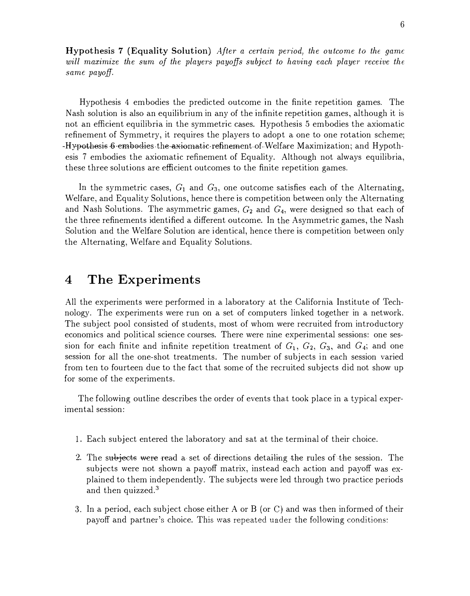Hypothesis 7 (Equality Solution) After a certain period, the outcome to the game will maximize the sum of the players payoffs subject to having each player receive the same payoff.

Hypothesis 4 embodies the predicted outcome in the finite repetition games. The Nash solution is also an equilibrium in any of the infinite repetition games, although it is not an efficient equilibria in the symmetric cases. Hypothesis 5 embodies the axiomatic refinement of Symmetry, it requires the players to adopt a one to one rotation scheme; -Hypothesis 6 embodies the axiomatic-refinement of Welfare Maximization; and Hypothesis 7 embodies the axiomatic refinement of Equality. Although not always equilibria, these three solutions are efficient outcomes to the finite repetition games.

In the symmetric cases,  $G_1$  and  $G_3$ , one outcome satisfies each of the Alternating, Welfare, and Equality Solutions, hence there is competition between only the Alternating and Nash Solutions. The asymmetric games,  $G_2$  and  $G_4$ , were designed so that each of the three refinements identified a different outcome. In the Asymmetric games, the Nash Solution and the Welfare Solution are identical, hence there is competition between only the Alternating, Welfare and Equality Solutions.

### 4 The Experiments

All the experiments were performed in a laboratory at the California Institute of Technology. The experiments were run on a set of computers linked together in a network. The subject pool consisted of students, most of whom were recruited from introductory economics and political science courses. There were nine experimental sessions: one session for each finite and infinite repetition treatment of  $G_1$ ,  $G_2$ ,  $G_3$ , and  $G_4$ ; and one session for all the one-shot treatments. The number of subjects in each session varied from ten to fourteen due to the fact that some of the recruited subjects did not show up for some of the experiments.

The following outline describes the order of events that took place in a typical experimental session:

- 1. Each subject entered the laboratory and sat at the terminal of their choice.
- 2. The subjects were read a set of directions detailing the rules of the session. The subjects were not shown a payoff matrix, instead each action and payoff was explained to them independently. The subjects were led through two practice periods and then quizzed.3
- 3. In a period, each subject chose either A or B (or C) and was then informed of their payoff and partner's choice. This was repeated under the following conditions: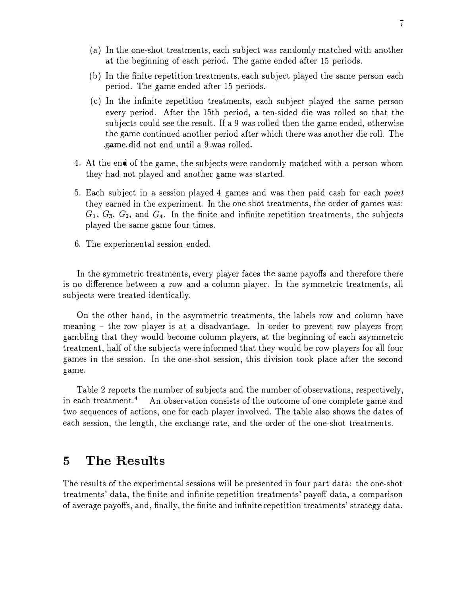- (a) In the one-shot treatments, each subject was randomly matched with another at the beginning of each period. The game ended after 15 periods.
- (b) In the finite repetition treatments, each subject played the same person each period. The game ended after 15 periods.
- (c) In the infinite repetition treatments, each subject played the same person every period. After the 15th period, a ten-sided die was rolled so that the subjects could see the result. If a 9 was rolled then the game ended, otherwise the game continued another period after which there was another die roll. The .game.did not end until a 9.was rolled.
- 4. At the end of the game, the subjects were randomly matched with a person whom they had not played and another game was started.
- 5. Each subject in a session played 4 games and was then paid cash for each *point* they earned in the experiment. In the one shot treatments, the order of games was:  $G_1, G_3, G_2$ , and  $G_4$ . In the finite and infinite repetition treatments, the subjects played the same game four times.
- 6. The experimental session ended.

In the symmetric treatments, every player faces the same payoffs and therefore there is no difference between a row and a column player. In the symmetric treatments, all subjects were treated identically.

On the other hand, in the asymmetric treatments, the labels row and column have meaning - the row player is at a disadvantage. In order to prevent row players from gambling that they would become column players, at the beginning of each asymmetric treatment, half of the subjects were informed that they would be row players for all four games in the session. In the one-shot session, this division took place after the second game.

Table 2 reports the number of subjects and the number of observations, respectively, in each treatment.4 An observation consists of the outcome of one complete game and two sequences of actions, one for each player involved. The table also shows the dates of each session, the length, the exchange rate, and the order of the one-shot treatments.

## 5 The Results

The results of the experimental sessions will be presented in four part data: the one-shot treatments' data, the finite and infinite repetition treatments' payoff data, a comparison of average payoffs, and, finally, the finite and infinite repetition treatments' strategy data.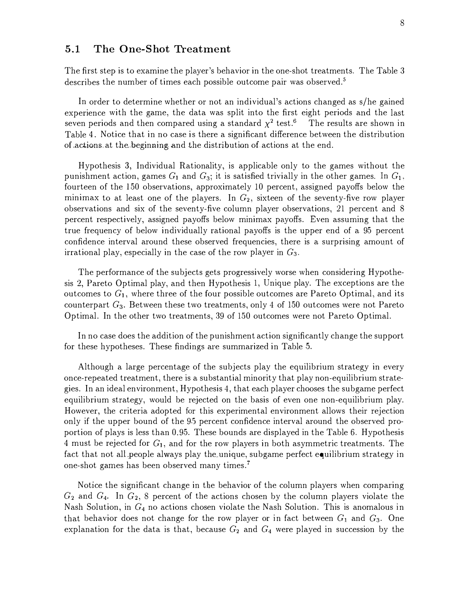#### 5.1 The One-Shot Treatment

The first step is to examine the player's behavior in the one-shot treatments. The Table 3 describes the number of times each possible outcome pair was observed.<sup>5</sup>

In order to determine whether or not an individual's actions changed as s/he gained experience with the game, the data was split into the first eight periods and the last seven periods and then compared using a standard  $\chi^2$  test.<sup>6</sup> The results are shown in Table 4. Notice that in no case is there a significant difference between the distribution of actions at the beginning and the distribution of actions at the end.

Hypothesis 3, Individual Rationality, is applicable only to the games without the punishment action, games  $G_1$  and  $G_3$ ; it is satisfied trivially in the other games. In  $G_1$ , fourteen of the 150 observations, approximately 10 percent, assigned payoffs below the minimax to at least one of the players. In  $G_2$ , sixteen of the seventy-five row player observations and six of the seventy-five column player observations, 21 percent and 8 percent respectively, assigned payoffs below minimax payoffs. Even assuming that the true frequency of below individually rational payoffs is the upper end of a 95 percent confidence interval around these observed frequencies, there is a surprising amount of irrational play, especially in the case of the row player in  $G_3$ .

The performance of the subjects gets progressively worse when considering Hypothesis 2, Pareto Optimal play, and then Hypothesis 1, Unique play. The exceptions are the outcomes to  $G_1$ , where three of the four possible outcomes are Pareto Optimal, and its counterpart  $G_3$ . Between these two treatments, only 4 of 150 outcomes were not Pareto Optimal. In the other two treatments, 39 of 150 outcomes were not Pareto Optimal.

In no case does the addition of the punishment action significantly change the support for these hypotheses. These findings are summarized in Table 5.

Although a large percentage of the subjects play the equilibrium strategy in every once-repeated treatment, there is a substantial minority that play non-equilibrium strategies. In an ideal environment, Hypothesis 4, that each player chooses the subgame perfect equilibrium strategy, would be rejected on the basis of even one non-equilibrium play. However, the criteria adopted for this experimental environment allows their rejection only if the upper bound of the 9.5 percent confidence interval around the observed proportion of plays is less than 0.95. These bounds are displayed in the Table 6. Hypothesis 4 must be rejected for  $G_1$ , and for the row players in both asymmetric treatments. The fact that not all people always play the unique, subgame perfect equilibrium strategy in one-shot games has been observed many times. <sup>7</sup>

Notice the significant change in the behavior of the column players when comparing  $G_2$  and  $G_4$ . In  $G_2$ , 8 percent of the actions chosen by the column players violate the Nash Solution, in  $G_4$  no actions chosen violate the Nash Solution. This is anomalous in that behavior does not change for the row player or in fact between  $G_1$  and  $G_3$ . One explanation for the data is that, because  $G_2$  and  $G_4$  were played in succession by the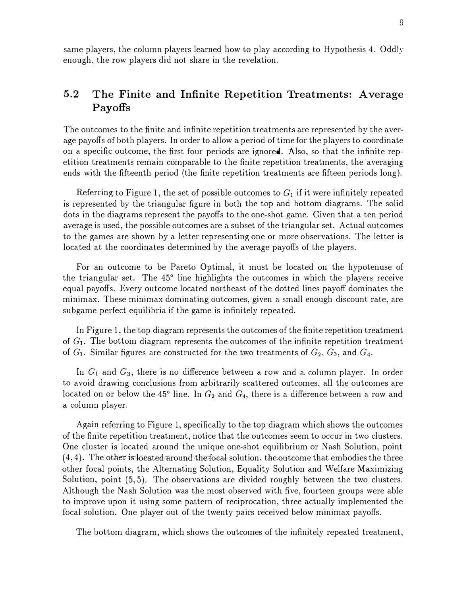same players, the column players learned how to play according to Hypothesis 4. Oddly enough, the row players did not share in the revelation.

#### 5.2 The Finite and Infinite Repetition Treatments: Average Payoffs

The outcomes to the finite and infinite repetition treatments are represented by the average payoffs of both players. In order to allow a period of time for the players to coordinate on a specific outcome, the first four periods are ignored. Also, so that the infinite repetition treatments remain comparable to the finite repetition treatments, the averaging ends with the fifteenth period (the finite repetition treatments are fifteen periods long).

Referring to Figure 1, the set of possible outcomes to  $G_1$  if it were infinitely repeated is represented by the triangular figure in both the top and bottom diagrams. The solid dots in the diagrams represent the payoffs to the one-shot game. Given that a ten period average is used, the possible outcomes are a subset of the triangular set. Actual outcomes to the games are shown by a letter representing one or more observations. The letter is located at the coordinates determined by the average payoffs of the players.

For an outcome to be Pareto Optimal, it must be located on the hypotenuse of the triangular set. The 45° line highlights the outcomes in which the players receive equal payoffs. Every outcome located northeast of the dotted lines payoff dominates the minimax. These minimax dominating outcomes, given a small enough discount rate, are subgame perfect equilibria if the game is infinitely repeated.

In Figure 1, the top diagram represents the outcomes of the finite repetition treatment of  $G_1$ . The bottom diagram represents the outcomes of the infinite repetition treatment of  $G_1$ . Similar figures are constructed for the two treatments of  $G_2$ ,  $G_3$ , and  $G_4$ .

In  $G_1$  and  $G_3$ , there is no difference between a row and a column player. In order to avoid drawing conclusions from arbitrarily scattered outcomes, all the outcomes are located on or below the 45° line. In  $G_2$  and  $G_4$ , there is a difference between a row and a column player.

Again referring to Figure 1, specifically to the top diagram which shows the outcomes of the finite repetition treatment, notice that the outcomes seem to occm in two clusters. One cluster is located around the unique one-shot equilibrium or Nash Solution, point  $(4, 4)$ . The other is located around the focal solution, the outcome that embodies the three other focal points, the Alternating Solution, Equality Solution and Welfare Maximizing Solution, point (5, 5). The observations are divided roughly between the two clusters. Although the Nash Solution was the most observed with five, fourteen groups were able to improve upon it using some pattern of reciprocation, three actually implemented the focal solution. One player out of the twenty pairs received below minimax payoffs.

The bottom diagram, which shows the outcomes of the infinitely repeated treatment,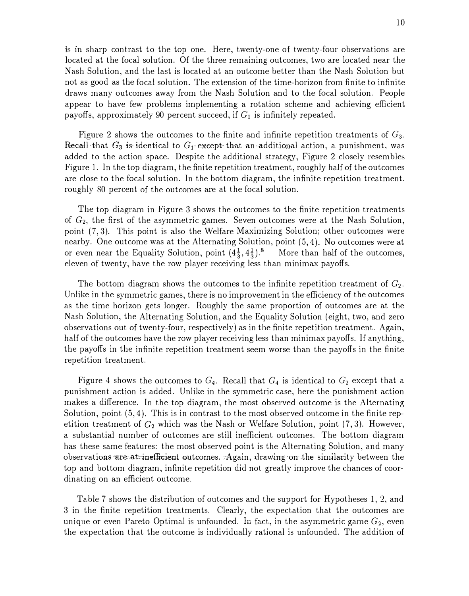is in sharp contrast to the top one. Here, twenty-one of twenty-four observations are located at the focal solution. Of the three remaining outcomes, two are located near the Nash Solution, and the last is located at an outcome better than the Nash Solution but not as good as the focal solution. The extension of the time-horizon from finite to infinite draws many outcomes away from the Nash Solution and to the focal solution. People appear to have few problems implementing a rotation scheme and achieving efficient payoffs, approximately 90 percent succeed, if  $G_1$  is infinitely repeated.

Figure 2 shows the outcomes to the finite and infinite repetition treatments of  $G_3$ . Recall that  $G_3$  is identical to  $G_1$  except that an additional action, a punishment, was added to the action space. Despite the additional strategy, Figure 2 closely resembles Figure 1. In the top diagram, the finite repetition treatment, roughly half of the outcomes are close to the focal solution. In the bottom diagram, the infinite repetition treatment. roughly 80 percent of the outcomes are at the focal solution.

The top diagram in Figure 3 shows the outcomes to the finite repetition treatments of G2, the first of the asymmetric games. Seven outcomes were at the Nash Solution, point (7, 3). This point is also the Welfare Maximizing Solution; other outcomes were nearby. One outcome was at the Alternating Solution, point (5, 4). No outcomes were at or even near the Equality Solution, point  $(4\frac{1}{3}, 4\frac{1}{3})$ .<sup>8</sup> More than half of the outcomes, eleven of twenty, have the row player receiving less than minimax payoffs.

The bottom diagram shows the outcomes to the infinite repetition treatment of  $G_2$ . Unlike in the symmetric games, there is no improvement in the efficiency of the outcomes as the time horizon gets longer. Roughly the same proportion of outcomes are at the Nash Solution, the Alternating Solution, and the Equality Solution (eight, two, and zero observations out of twenty-four, respectively) as in the finite repetition treatment. Again, half of the outcomes have the row player receiving less than minimax payoffs. If anything, the payoffs in the infinite repetition treatment seem worse than the payoffs in the finite repetition treatment.

Figure 4 shows the outcomes to  $G_4$ . Recall that  $G_4$  is identical to  $G_2$  except that a punishment action is added. Unlike in the symmetric case, here the punishment action makes a difference. In the top diagram, the most observed outcome is the Alternating Solution, point (5, 4). This is in contrast to the most observed outcome in the finite repetition treatment of  $G_2$  which was the Nash or Welfare Solution, point  $(7, 3)$ . However, a substantial number of outcomes are still inefficient outcomes. The bottom diagram has these same features: the most observed point is the Alternating Solution, and many observations are at inefficient outcomes. Again, drawing on the similarity between the top and bottom diagram, infinite repetition did not greatly improve the chances of coordinating on an efficient outcome.

Table 7 shows the distribution of outcomes and the support for Hypotheses 1, 2, and 3 in the finite repetition treatments. Clearly, the expectation that the outcomes are unique or even Pareto Optimal is unfounded. In fact, in the asymmetric game  $G_2$ , even the expectation that the outcome is individually rational is unfounded. The addition of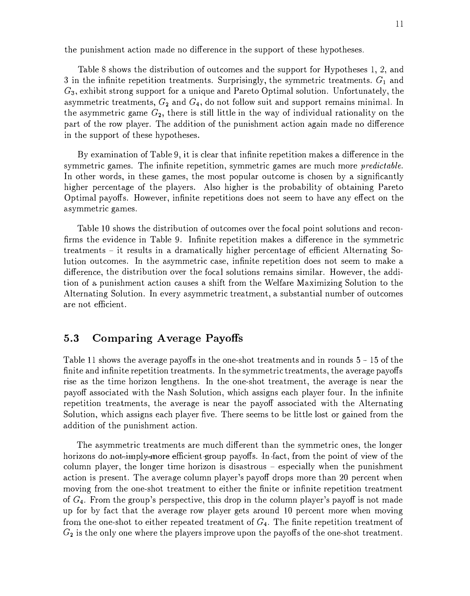the punishment action made no difference in the support of these hypotheses.

Table 8 shows the distribution of outcomes and the support for Hypotheses 1, 2, and 3 in the infinite repetition treatments. Surprisingly, the symmetric treatments.  $G_1$  and  $G_3$ , exhibit strong support for a unique and Pareto Optimal solution. Unfortunately, the asymmetric treatments,  $G_2$  and  $G_4$ , do not follow suit and support remains minimal. In the asymmetric game  $G_2$ , there is still little in the way of individual rationality on the part of the row player. The addition of the punishment action again made no difference in the support of these hypotheses.

By examination of Table 9, it is clear that infinite repetition makes a difference in the symmetric games. The infinite repetition, symmetric games are much more *predictable*. In other words, in these games, the most popular outcome is chosen by a significantly higher percentage of the players. Also higher is the probability of obtaining Pareto Optimal payoffs. However, infinite repetitions does not seem to have any effect on the a.symmetric games.

Table 10 shows the distribution of outcomes over the focal point solutions and reconfirms the evidence in Table 9. Infinite repetition makes a difference in the symmetric  $treatments - it results in a dramatically higher percentage of efficient Alternating So$ lution outcomes. In the asymmetric case, infinite repetition does not seem to make a difference, the distribution over the focal solutions remains similar. However, the addition of a punishment action causes a shift from the Welfare Maximizing Solution to the Alternating Solution. In every asymmetric treatment, a substantial number of outcomes are not efficient.

#### 5.3 Comparing Average Payoffs

Table 11 shows the average payoffs in the one-shot treatments and in rounds 5 - 15 of the finite and infinite repetition treatments. In the symmetric treatments, the average payoffs rise as the time horizon lengthens. In the one-shot treatment, the average is near the payoff associated with the Nash Solution, which assigns each player four. In the infinite repetition treatments, the average is near the payoff associated with the Alternating Solution, which assigns each player five. There seems to be little lost or gained from the addition of the punishment action.

The asymmetric treatments are much different than the symmetric ones, the longer horizons do not-imply-more efficient-group payoffs. In-fact, from the point of view of the column player, the longer time horizon is disastrous - especially when the punishment action is present. The average column player's payoff drops more than 20 percent when moving from the one-shot treatment to either the finite or infinite repetition treatment of  $G_4$ . From the group's perspective, this drop in the column player's payoff is not made up for by fact that the average row player gets around 10 percent more when moving from the one-sliot to either repeated treatment of  $G_4$ . The finite repetition treatment of  $G_2$  is the only one where the players improve upon the payoffs of the one-shot treatment.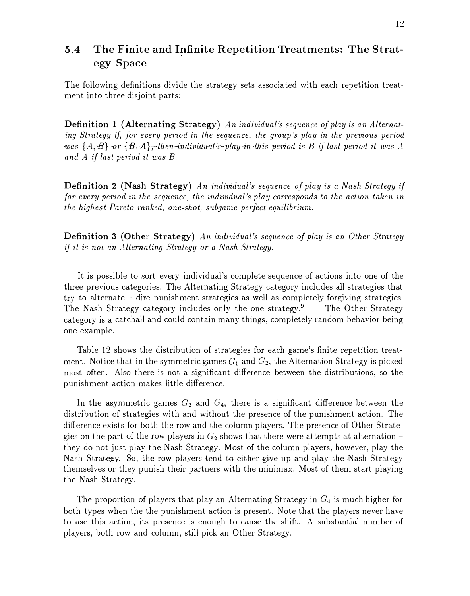### 5.4 The Finite and Infinite Repetition Treatments: The Strategy Space

The following definitions divide the strategy sets associated with each repetition treatment into three disjoint parts:

Definition 1 (Alternating Strategy) An individual's sequence of play is an Alternating Strategy if, for every period in the sequence, the group's play in the previous period was  $\{A,B\}$  or  $\{B,A\}$ , then-individual's-play-in this period is B if last period it was A and A if last period it was B.

Definition 2 (Nash Strategy) An individual's sequence of play is a Nash Strategy if for every period in the sequence, the individual's play corresponds to the action taken in the highest Pareto ranked, one-shot, subgame perfect equilibrium.

Definition 3 (Other Strategy) An individual's sequence of play is an Other Strategy if it is not an Alternating Strategy or a Nash Strategy.

It is possible to sort every individual's complete sequence of actions into one of the three previous categories. The Alternating Strategy category includes all strategies that try to alternate - dire punishment strategies as well as completely forgiving strategies. The Nash Strategy category includes only the one strategy.<sup>9</sup> The Other Strategy category is a catchall and could contain many things, completely random behavior being one example.

Table 12 shows the distribution of strategies for each game's finite repetition treatment. Notice that in the symmetric games  $G_1$  and  $G_2$ , the Alternation Strategy is picked most often. Also there is not a significant difference between the distributions, so the punishment action makes little difference.

In the asymmetric games  $G_2$  and  $G_4$ , there is a significant difference between the distribution of strategies with and without the presence of the punishment action. The difference exists for both the row and the column players. The presence of Other Strategies on the part of the row players in  $G_2$  shows that there were attempts at alternation they do not just play the Nash Strategy. Most of the column players, however, play the Nash Strategy. So,-the-row players tend to either give up and play the Nash Strategy themselves or they punish their partners with the minimax. Most of them start playing the Nash Strategy.

The proportion of players that play an Alternating Strategy in  $G_4$  is much higher for both types when the the punishment action is present. Note that the players never have to use this action, its presence is enough to cause the shift. A substantial number of players, both row and column, still pick an Other Strategy.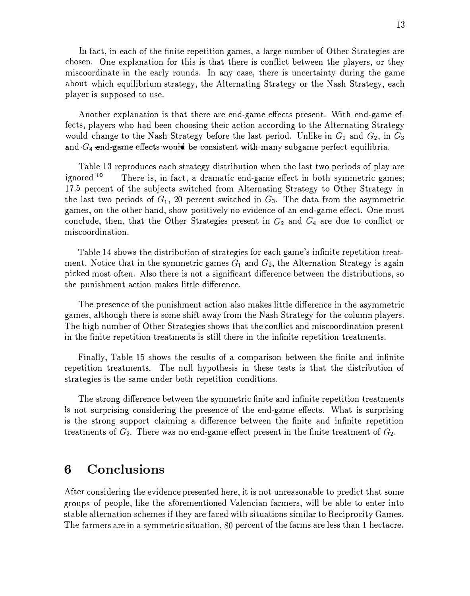In fact, in each of the finite repetition games, a large number of Other Strategies are chosen. One explanation for this is that there is conflict between the players, or they miscoordinate in the early rounds. In any case, there is uncertainty during the game about which equilibrium strategy, the Alternating Strategy or the Nash Strategy, each player is supposed to use.

Another explanation is that there are end-game effects present. With end-game effects, players who had been choosing their action according to the Alternating Strategy would change to the Nash Strategy before the last period. Unlike in  $G_1$  and  $G_2$ , in  $G_3$ and  $G_4$  end-game effects would be consistent with many subgame perfect equilibria.

Table 13 reproduces each strategy distribution when the last two periods of play are ignored  $10$  There is, in fact, a dramatic end-game effect in both symmetric games; 17.5 percent of the subjects switched from Alternating Strategy to Other Strategy in the last two periods of  $G_1$ , 20 percent switched in  $G_3$ . The data from the asymmetric games, on the other hand, show positively no evidence of an end-game effect. One must conclude, then, that the Other Strategies present in  $G_2$  and  $G_4$  are due to conflict or miscoordination.

Table 14 shows the distribution of strategies for each game's infinite repetition treatment. Notice that in the symmetric games  $G_1$  and  $G_2$ , the Alternation Strategy is again picked most often. Also there is not a significant difference between the distributions, so the punishment action makes little difference.

The presence of the punishment action also makes little difference in the asymmetric games, although there is some shift away from the Nash Strategy for the column players. The high number of Other Strategies shows that the conflict and miscoordination present in the finite repetition treatments is still there in the infinite repetition treatments.

Finally, Table 15 shows the results of a comparison between the finite and infinite repetition treatments. The null hypothesis in these tests is that the distribution of strategies is the same under both repetition conditions.

The strong difference between the symmetric finite and infinite repetition treatments 1s not surprising considering the presence of the end-game effects. What is surprising is the strong support claiming a difference between the finite and infinite repetition treatments of  $G_2$ . There was no end-game effect present in the finite treatment of  $G_2$ .

# 6 Conclusions

After considering the evidence presented here, it is not unreasonable to predict that some groups of people, like the aforementioned Valencian farmers, will be able to enter into stable alternation schemes if they are faced with situations similar to Reciprocity Games. The farmers are in a symmetric situation, 80 percent of the farms are less than 1 hectacre.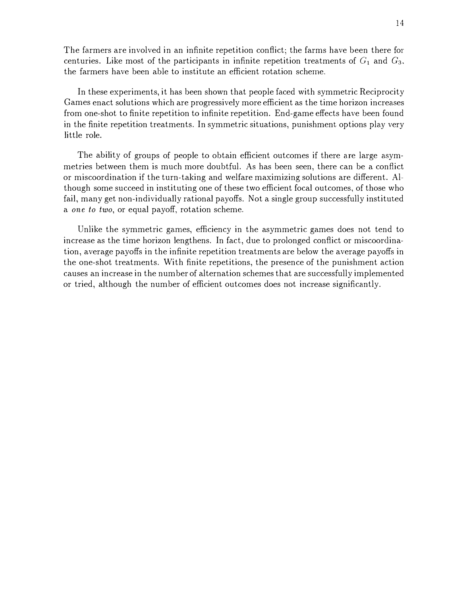The farmers are involved in an infinite repetition conflict; the farms have been there for centuries. Like most of the participants in infinite repetition treatments of  $G_1$  and  $G_3$ . the farmers have been able to institute an efficient rotation scheme.

In these experiments, it has been shown that people faced with symmetric Reciprocity Games enact solutions which are progressively more efficient as the time horizon increases from one-shot to finite repetition to infinite repetition. End-game effects have been found in the finite repetition treatments. In symmetric situations, punishment options play very little role.

The ability of groups of people to obtain efficient outcomes if there are large asymmetries between them is much more doubtful. As has been seen, there can be a conflict or miscoordination if the turn-taking and welfare maximizing solutions are different. Although some succeed in instituting one of these two efficient focal outcomes, of those who fail, many get non-individually rational payoffs. Not a single group successfully instituted a one to two, or equal payoff, rotation scheme.

Unlike the symmetric games, efficiency in the asymmetric games does not tend to increase as the time horizon lengthens. In fact, due to prolonged conflict or miscoordination, average payoffs in the infinite repetition treatments are below the average payoffs in the one-shot treatments. With finite repetitions, the presence of the punishment action causes an increase in the number of alternation schemes that are successfully implemented or tried, although the number of efficient outcomes does not increase significantly.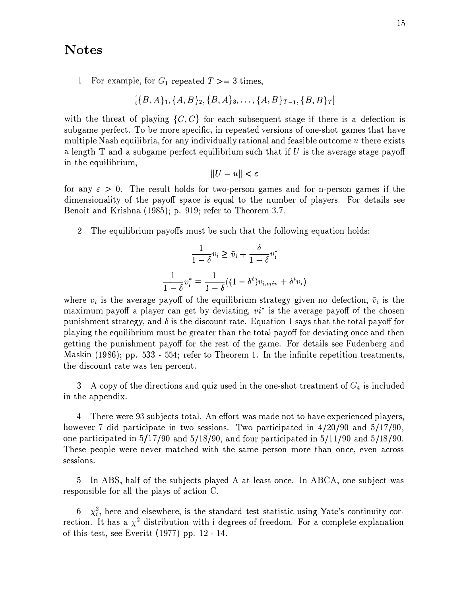#### Notes

1 For example, for  $G_1$  repeated  $T \geq 3$  times,

$$
[\{B,A\}_1,\{A,B\}_2,\{B,A\}_3,\ldots,\{A,B\}_{T-1},\{B,B\}_T]
$$

with the threat of playing  $\{C, C\}$  for each subsequent stage if there is a defection is subgame perfect. To be more specific, in repeated versions of one-shot games that have multiple Nash equilibria, for any individually rational and feasible outcome  $u$  there exists a length T and a subgame perfect equilibrium such that if  $U$  is the average stage payoff in the equilibrium,

$$
||U - u|| < \varepsilon
$$

for any  $\varepsilon > 0$ . The result holds for two-person games and for n-person games if the dimensionality of the payoff space is equal to the number of players. For details see Benoit and Krishna  $(1985)$ ; p. 919; refer to Theorem 3.7.

2 The equilibrium payoffs must be such that the following equation holds:

$$
\frac{1}{1-\delta}v_i \ge \bar{v}_i + \frac{\delta}{1-\delta}v_i^*
$$

$$
\frac{1}{1-\delta}v_i^* = \frac{1}{1-\delta}((1-\delta^t)v_{i,min} + \delta^t v_i)
$$

where  $v_i$  is the average payoff of the equilibrium strategy given no defection,  $\bar{v}_i$  is the maximum payoff a player can get by deviating,  $vi^*$  is the average payoff of the chosen punishment strategy, and  $\delta$  is the discount rate. Equation 1 says that the total payoff for playing the equilibrium must be greater than the total payoff for deviating once and then getting the punishment payoff for the rest of the game. For details see Fudenberg and Maskin (1986); pp. 533 - 554; refer to Theorem 1. In the infinite repetition treatments, the discount rate was ten percent.

3 A copy of the directions and quiz used in the one-shot treatment of  $G_4$  is included in the appendix.

4 There were 93 subjects total. An effort was made not to have experienced players, however 7 did participate in two sessions. Two participated in  $4/20/90$  and  $5/17/90$ , one participated in 5/17 /90 and 5/18/90, and four participated in 5/1 1/90 and 5/18/90. These people were never matched with the same person more than once, even across sessions.

5 In ABS, half of the subjects played A at least once. In ABCA, one subject was responsible for all the plays of action C.

6  $\chi_i^2$ , here and elsewhere, is the standard test statistic using Yate's continuity correction. It has a  $\chi^2$  distribution with i degrees of freedom. For a complete explanation of this test, see Everitt ( 1977) pp. 12 - 14.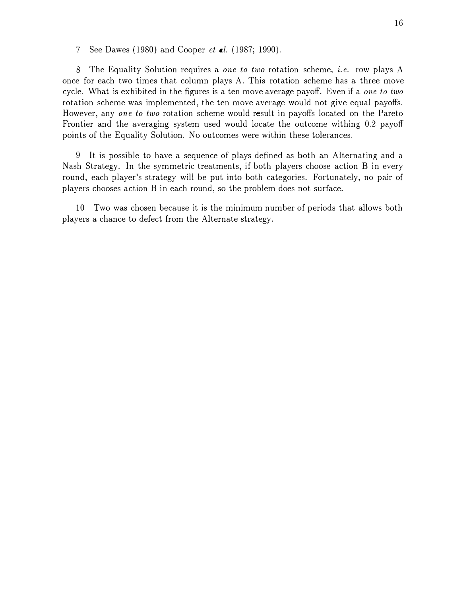7 See Dawes ( 1980) and Cooper et al. (1987; 1990).

8 The Equality Solution requires a one to two rotation scheme, i.e. row plays A once for each two times that column plays A. This rotation scheme has a three move cycle. What is exhibited in the figures is a ten move average payoff. Even if a one to two rotation scheme was implemented, the ten move average would not give equal payoffs. However, any one to two rotation scheme would result in payoffs located on the Pareto Frontier and the averaging system used would locate the outcome withing 0.2 payoff points of the Equality Solution. No outcomes were within these tolerances.

9 It is possible to have a sequence of plays defined as both an Alternating and a Nash Strategy. In the symmetric treatments, if both players choose action B in every round, each player's strategy will be put into both categories. Fortunately, no pair of players chooses action B in each round, so the problem does not surface.

10 Two was chosen because it is the minimum number of periods that allows both players a chance to defect from the Alternate strategy.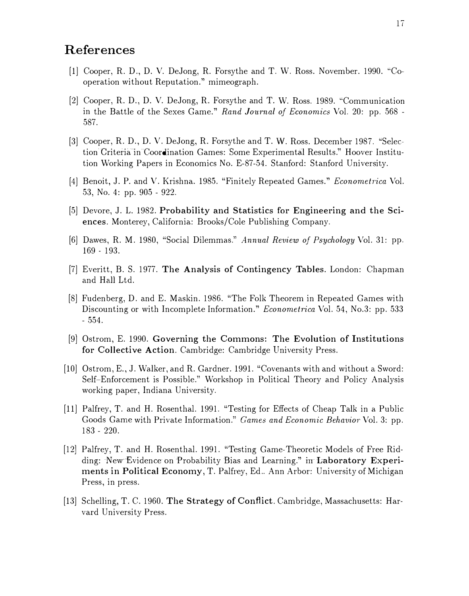# References

- [1] Cooper, R. D., D. V. DeJong, R. Forsythe and T. W. Ross. November, 1990. "Cooperation without Reputation." mimeograph.
- [2] Cooper, R. D., D. V. DeJong, R. Forsythe and T. W. Ross. 1989. "Communication in the Battle of the Sexes Game." Rand Journal of Economics Vol. 20: pp. 568 - 587.
- [3] Cooper, R. D., D. V. DeJong, R. Forsythe and T. \V. Ross. December 1987. "Selection Criteria in Coordination Games: Some Experimental Results." Hoover Institution Working Papers in Economics No. E-87-54. Stanford: Stanford University.
- [4] Benoit, J. P. and V. Krishna. 1985. "Finitely Repeated Games." Econometrica Vol. 53, No. 4: pp. 905 - 922.
- [5] Devore, J. L. 1982. Probability and Statistics for Engineering and the Sciences. Monterey, California: Brooks/Cole Publishing Company.
- [6] Dawes, R. M. 1980, "Social Dilemmas." Annual Review of Psychology Vol. 31: pp. 169 - 193.
- [7] Everitt, B. S. 1977. The Analysis of Contingency Tables. London: Chapman and Hall Ltd.
- [8] Fudenberg, D. and E. Maskin. 1986. "The Folk Theorem in Repeated Games with Discounting or with Incomplete Information." Econometrica Vol. 54, No.3: pp. 533 - 554.
- [9] Ostrom, E. 1990. Governing the Commons: The Evolution of Institutions for Collective Action. Cambridge: Cambridge University Press.
- [10] Ostrom, E., J. Walker, and R. Gardner. 1991. "Covenants with and without a Sword: Self-Enforcement is Possible." Workshop in Political Theory and Policy Analysis working paper, Indiana. University.
- [11] Palfrey, T. and H. Rosenthal. 1991. "Testing for Effects of Cheap Talk in a. Public Goods Game with Private Information." Games and Economic Behavior Vol. 3: pp. 183 - 220.
- [12] Palfrey, T. and H. Rosenthal. 1991. "Testing Game-Theoretic Models of Free Ridding: New Evidence on Probability Bias and Learning." in Laboratory Experiments in Political Economy, T. Palfrey, Ed .. Ann Arbor: University of Michigan Press, in press.
- [13] Schelling, T. C. 1960. The Strategy of Conflict. Cambridge, Massachusetts: Harvard University Press.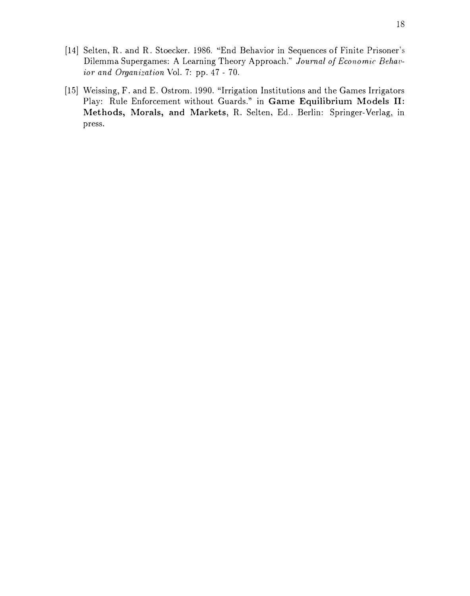- [14] Selten, R. and R. Stoecker. 1986. "End Behavior in Sequences of Finite Prisoner's Dilemma Supergames: A Learning Theory Approach." Journal of Economic Behavior and Organization Vol. 7: pp. 47 - 70.
- [15] Weissing, F. and E. Ostrom. 1990. "Irrigation Institutions and the Games Irrigators Play: Rule Enforcement without Guards." in Game Equilibrium Models II: Methods, Morals, and Markets, R. Selten, Ed.. Berlin: Springer-Verlag, in press.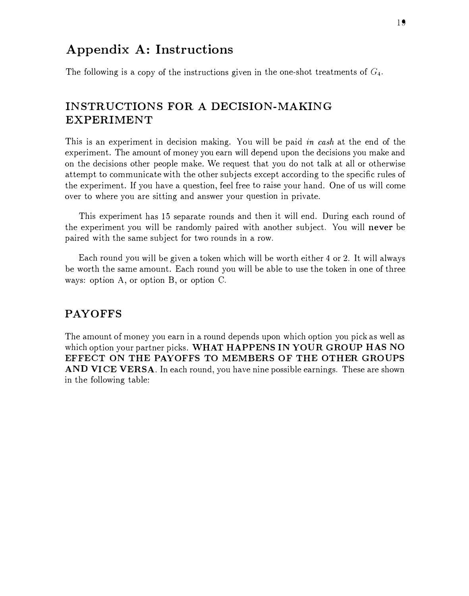# Appendix A: Instructions

The following is a copy of the instructions given in the one-shot treatments of  $G_4$ .

# INSTRUCTIONS FOR A DECISION-MAKING EXPERIMENT

This is an experiment in decision making. You will be paid in cash at the end of the experiment. The amount of money you earn will depend upon the decisions you make and on the decisions other people make. We request that you do not talk at all or otherwise attempt to communicate with the other subjects except according to the specific rules of the experiment. If you have a question, feel free to raise your hand. One of us will come over to where you are sitting and answer your question in private.

This experiment has 15 separate rounds and then it will end. During each round of the experiment you will be randomly paired with another subject. You will never be paired with the same subject for two rounds in a row.

Each round you will be given a token which will be worth either 4 or 2. It will always be worth the same amount. Each round you will be able to use the token in one of three ways: option A, or option B, or option C.

#### PAYOFFS

The amount of money you earn in a round depends upon which option you pick as well as which option your partner picks. WHAT HAPPENS IN YOUR GROUP HAS NO EFFECT ON THE PAYOFFS TO MEMBERS OF THE OTHER GROUPS AND VICE VERSA. In each round, you have nine possible earnings. These are shown in the following table: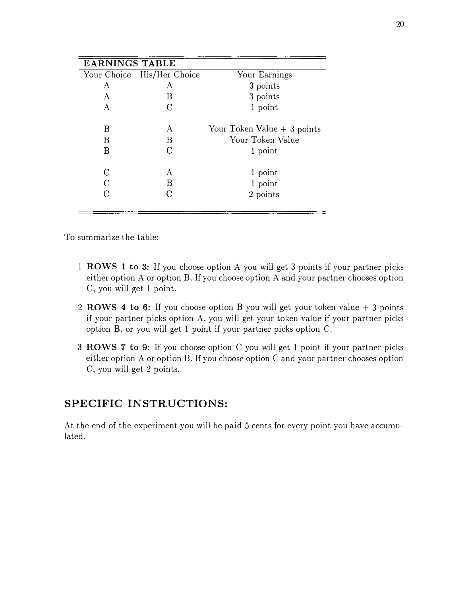| <b>EARNINGS TABLE</b> |                            |                              |
|-----------------------|----------------------------|------------------------------|
|                       | Your Choice His/Her Choice | Your Earnings                |
| A                     | А                          | 3 points                     |
| A                     | B                          | 3 points                     |
| A                     | C                          | 1 point                      |
| Β                     | A                          | Your Token Value $+3$ points |
| Β                     | B                          | Your Token Value             |
| B                     | C                          | 1 point                      |
| C                     | A                          | 1 point                      |
| C                     | B                          | 1 point                      |
| C                     |                            | 2 points                     |
|                       |                            |                              |

To summarize the table:

- 1 ROWS 1 to 3: If you choose option A you will get 3 points if your partner picks either option A or option B. If you choose option A and your partner chooses option C, you will get 1 point.
- 2 ROWS 4 to 6: If you choose option B you will get your token value  $+3$  points if your partner picks option A, you will get your token value if your partner picks option B, or you will get 1 point if your partner picks option C.
- 3 ROWS 7 to 9: If you choose option C you will get 1 point if your partner picks either option A or option B. If you choose option C' and your partner chooses option C, you will get 2 points.

## SPECIFIC INSTRUCTIONS:

At the end of the experiment you will be paid 5 cents for every point you have accumulated.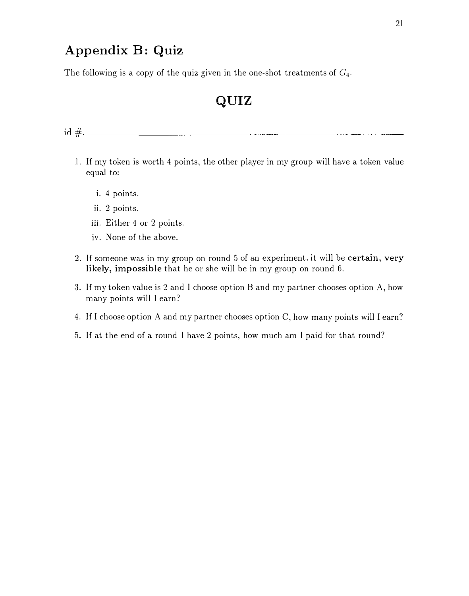# Appendix B: Quiz

The following is a copy of the quiz given in the one-shot treatments of  $G_4$ .

# QUIZ

- I. If my token is worth 4 points, the other player in my group will have a token value equal to:
	- i. 4 points.
	- II. 2 points.
	- 111. Either 4 or 2 points.
	- iv. None of the above.
- 2. If someone was in my group on round 5 of an experiment, it will be certain, very likely, impossible that he or she will be in my group on round 6.
- 3. If my token value is 2 and I choose option B and my partner chooses option A, how many points will I earn?
- 4. If I choose option A and my partner chooses option C, how many points will I earn?
- 5. If at the end of a round I have 2 points, how much am I paid for that round?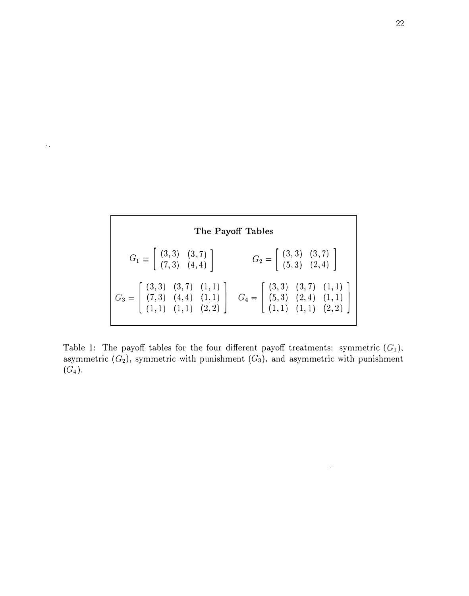

 $\bar{\Delta}$  .

Table 1: The payoff tables for the four different payoff treatments: symmetric  $(G_1)$ , asymmetric  $(G_2)$ , symmetric with punishment  $(G_3)$ , and asymmetric with punishment  $(G_4)$ .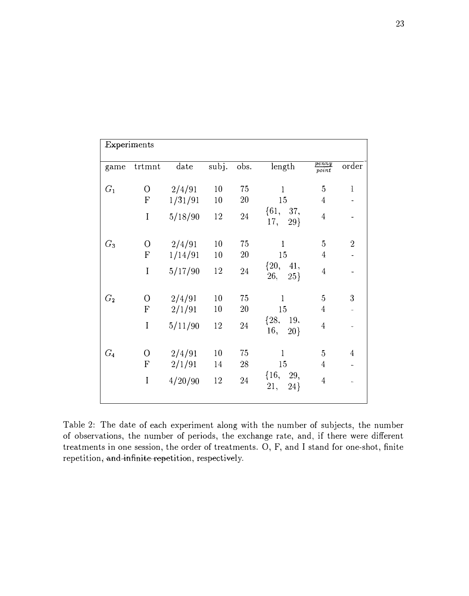| Experiments |                           |         |        |           |                       |                       |                          |
|-------------|---------------------------|---------|--------|-----------|-----------------------|-----------------------|--------------------------|
| game        | trtmnt                    | date    | subj.  | obs.      | length                | $\frac{penny}{point}$ | order                    |
| $G_1$       | $\overline{O}$            | 2/4/91  | 10     | 75        | $\mathbf{1}$          | $\overline{5}$        | $\mathbf{l}$             |
|             | ${\bf F}$                 | 1/31/91 | $10\,$ | 20        | 15                    | $\overline{4}$        |                          |
|             | $\rm I$                   | 5/18/90 | 12     | $24\,$    | ${61, 37,}$<br>17, 29 | $\overline{4}$        |                          |
| $G_3$       | $\overline{O}$            | 2/4/91  | 10     | 75        | $\mathbf{1}$          | $\overline{5}$        | $\sqrt{2}$               |
|             | $\boldsymbol{\mathrm{F}}$ | 1/14/91 | 10     | <b>20</b> | 15                    | $\overline{4}$        |                          |
|             | I                         | 5/17/90 | 12     | $24\,$    | $\{20, 41,$<br>26, 25 | $\sqrt{4}$            |                          |
| $G_{2}$     | $\overline{0}$            | 2/4/91  | 10     | 75        | $\mathbf{1}$          | 5                     | 3                        |
|             | $\mathbf F$               | 2/1/91  | 10     | <b>20</b> | 15                    | $\overline{4}$        | $\overline{\phantom{a}}$ |
|             | $\bf I$                   | 5/11/90 | 12     | 24        | $\{28, 19,$<br>16, 20 | $\overline{4}$        |                          |
| $G_4$       | $\overline{O}$            | 2/4/91  | 10     | 75        | $\mathbf{1}$          | 5                     | $\overline{4}$           |
|             | ${\bf F}$                 | 2/1/91  | 14     | 28        | 15                    | $\overline{4}$        |                          |
|             | $\mathbf I$               | 4/20/90 | 12     | 24        | $\{16, 29,$<br>21, 24 | $\overline{4}$        |                          |

Table 2: The date of each experiment along with the number of subjects, the number of observations, the number of periods, the exchange rate, and, if there were different treatments in one session, the order of treatments. 0, F, and I stand for one-shot, finite repetition, and infinite repetition, respectively.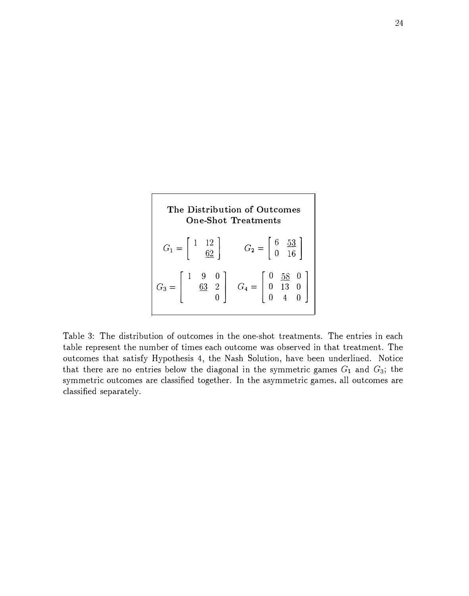

Table 3: The distribution of outcomes in the one-shot treatments. The entries in each table represent the number of times each outcome was observed in that treatment. The outcomes that satisfy Hypothesis 4, the Nash Solution, have been underlined. Notice that there are no entries below the diagonal in the symmetric games  $G_1$  and  $G_3$ ; the symmetric outcomes are classified together. In the asymmetric games, all outcomes are classified separately.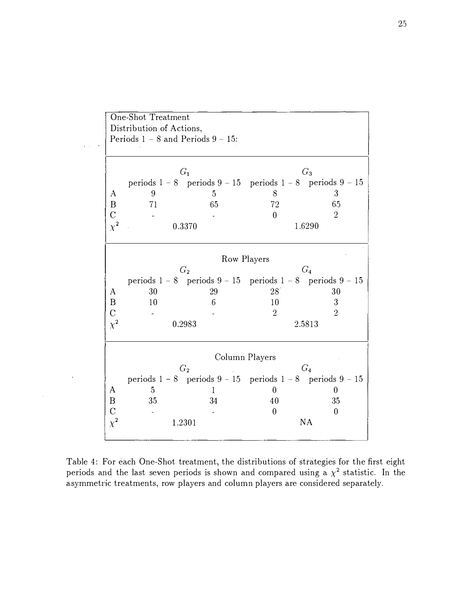|                  | <b>One-Shot Treatment</b>              |                                                                   |                |                  |
|------------------|----------------------------------------|-------------------------------------------------------------------|----------------|------------------|
|                  |                                        |                                                                   |                |                  |
|                  | Distribution of Actions,               |                                                                   |                |                  |
|                  | Periods $1 - 8$ and Periods $9 - 15$ : |                                                                   |                |                  |
|                  |                                        |                                                                   |                |                  |
|                  |                                        |                                                                   |                |                  |
|                  |                                        | G <sub>1</sub>                                                    |                | $G_3$            |
|                  |                                        | periods $1 - 8$ periods $9 - 15$ periods $1 - 8$ periods $9 - 15$ |                |                  |
| A                | 9                                      | 5                                                                 | 8              | 3                |
| B                | 71                                     | 65                                                                | 72             | 6.5              |
| $\overline{C}$   |                                        |                                                                   | $\overline{0}$ | $\overline{2}$   |
| $\chi^2$         |                                        | 0.3370                                                            |                | 1.6290           |
|                  |                                        |                                                                   |                |                  |
|                  |                                        |                                                                   |                |                  |
|                  |                                        |                                                                   | Row Players    |                  |
|                  |                                        | G <sub>2</sub>                                                    |                | G <sub>4</sub>   |
|                  |                                        |                                                                   |                |                  |
|                  |                                        | periods $1 - 8$ periods $9 - 15$ periods $1 - 8$ periods $9 - 15$ |                |                  |
| A                | 30                                     | 29                                                                | 28             | 30               |
| $\boldsymbol{B}$ | 10                                     | 6                                                                 | 10             | 3                |
| $\overline{C}$   |                                        |                                                                   | $\overline{2}$ | $\overline{2}$   |
| $\chi^2$         |                                        | 0.2983                                                            |                | 2.5813           |
|                  |                                        |                                                                   |                |                  |
|                  |                                        |                                                                   |                |                  |
|                  |                                        |                                                                   | Column Players |                  |
|                  |                                        | G <sub>2</sub>                                                    |                | $G_4$            |
|                  |                                        | periods $1 - 8$ periods $9 - 15$ periods $1 - 8$ periods $9 - 15$ |                |                  |
| A                | 5                                      | 1                                                                 | $\overline{0}$ | $\theta$         |
| $\, {\bf B}$     | 35                                     | 34                                                                | 40             | 35               |
| $\overline{C}$   |                                        |                                                                   | $\overline{0}$ | $\boldsymbol{0}$ |
|                  |                                        |                                                                   |                |                  |
| $\chi^2$         |                                        | 1.2301                                                            |                | NA               |
|                  |                                        |                                                                   |                |                  |

Table 4: For each One-Shot treatment, the distributions of strategies for the first eight periods and the last seven periods is shown and compared using a  $\chi^2$  statistic. In the asymmetric treatments, row players and column players are considered separately.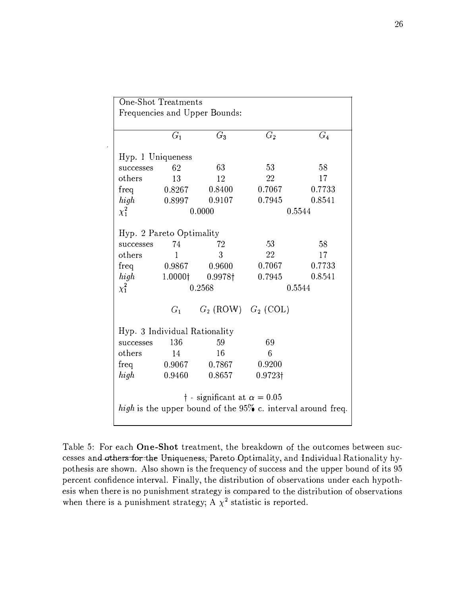| One-Shot Treatments                                            |                                            |                               |         |         |  |  |  |
|----------------------------------------------------------------|--------------------------------------------|-------------------------------|---------|---------|--|--|--|
|                                                                |                                            | Frequencies and Upper Bounds: |         |         |  |  |  |
|                                                                |                                            |                               |         |         |  |  |  |
|                                                                | $G_1$                                      | $G_3$                         | $G_2$   | $G_4$   |  |  |  |
| Hyp. 1 Uniqueness                                              |                                            |                               |         |         |  |  |  |
| successes                                                      | 62                                         | 63                            | 53      | 58      |  |  |  |
| others                                                         | 13                                         | 12                            | 22      | 17      |  |  |  |
| freq                                                           | 0.8267                                     | 0.8400                        | 0.7067  | 0.7733  |  |  |  |
| high                                                           | 0.8997                                     | 0.9107                        | 0.7945  | 0.8541  |  |  |  |
| $\chi_1^2$                                                     |                                            | 0.0000                        |         | 0.5544  |  |  |  |
|                                                                |                                            |                               |         |         |  |  |  |
| Hyp. 2 Pareto Optimality                                       |                                            |                               |         |         |  |  |  |
| successes                                                      | 74                                         | 72                            | $-53$   | 58      |  |  |  |
| others                                                         | $\mathbf{1}$                               | 3                             | 22      | 17      |  |  |  |
| freq                                                           | 0.9867                                     | 0.9600                        | 0.7067  | 0.7733  |  |  |  |
| high                                                           | 1.0000 <sup>†</sup>                        | 0.9978†                       | 0.7945  | 0.8.541 |  |  |  |
| $\chi_1^2$                                                     |                                            | 0.2568                        |         | 0.5544  |  |  |  |
|                                                                |                                            |                               |         |         |  |  |  |
|                                                                | $G_1$                                      | $G_2$ (ROW) $G_2$ (COL)       |         |         |  |  |  |
|                                                                |                                            | Hyp. 3 Individual Rationality |         |         |  |  |  |
| successes                                                      | 136                                        | 59                            | 69      |         |  |  |  |
| others                                                         | 14                                         | 16                            | 6       |         |  |  |  |
| freq                                                           | 0.9067                                     | 0.7867                        | 0.9200  |         |  |  |  |
| high                                                           | 0.9460                                     | 0.8657                        | 0.9723† |         |  |  |  |
|                                                                |                                            |                               |         |         |  |  |  |
|                                                                | $\dagger$ - significant at $\alpha = 0.05$ |                               |         |         |  |  |  |
|                                                                |                                            |                               |         |         |  |  |  |
| high is the upper bound of the $95\%$ c. interval around freq. |                                            |                               |         |         |  |  |  |

Table 5: For each One-Shot treatment, the breakdown of the outcomes between successes and others for the Uniqueness; Pareto Optimality, and Individual Rationality hypothesis are shown. Also shown is the frequency of success and the upper bound of its 95 percent confidence interval. Finally, the distribution of observations under each hypothesis when there is no punishment strategy is compared to the distribution of observations when there is a punishment strategy;  $A \chi^2$  statistic is reported.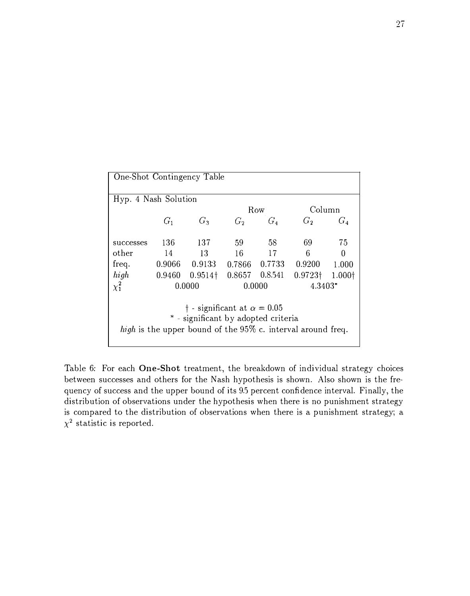| One-Shot Contingency Table                 |                |                   |                    |               |                                                             |                |  |
|--------------------------------------------|----------------|-------------------|--------------------|---------------|-------------------------------------------------------------|----------------|--|
| Hyp. 4 Nash Solution                       |                |                   |                    |               |                                                             |                |  |
|                                            |                |                   |                    | Row           | Column                                                      |                |  |
|                                            | G <sub>1</sub> | $G_3$             | $G_2$              | $G_4$         | G <sub>2</sub>                                              | $G_4$          |  |
|                                            |                |                   |                    |               |                                                             |                |  |
| successes                                  | 136 -          | - 137             | 59                 | -58           | 69                                                          | 75             |  |
| other                                      | 14             | -13               | 16                 | 17            | 6                                                           | 0              |  |
| freq.                                      |                | $0.9066$ $0.9133$ |                    | 0.7866 0.7733 | 0.9200                                                      | 1.000          |  |
| high                                       | 0.9460         | $0.9514\dagger$   | $0.8657$ $0.8.541$ |               | $0.9723\dagger$                                             | $1.000\dagger$ |  |
| $\chi^2$                                   |                | 0.0000            |                    | 0.0000        |                                                             | $4.3403*$      |  |
| $\dagger$ - significant at $\alpha = 0.05$ |                |                   |                    |               |                                                             |                |  |
| * - significant by adopted criteria        |                |                   |                    |               |                                                             |                |  |
|                                            |                |                   |                    |               | high is the upper bound of the 95% c. interval around freq. |                |  |
|                                            |                |                   |                    |               |                                                             |                |  |

Table 6: For each One-Shot treatment, the breakdown of individual strategy choices between successes and others for the Nash hypothesis is shown. Also shown is the frequency of success and the upper bound of its 9.5 percent confidence interval. Finally, the distribution of observations under the hypothesis when there is no punishment strategy is compared to the distribution of observations when there is a punishment strategy; a  $\chi^2$  statistic is reported.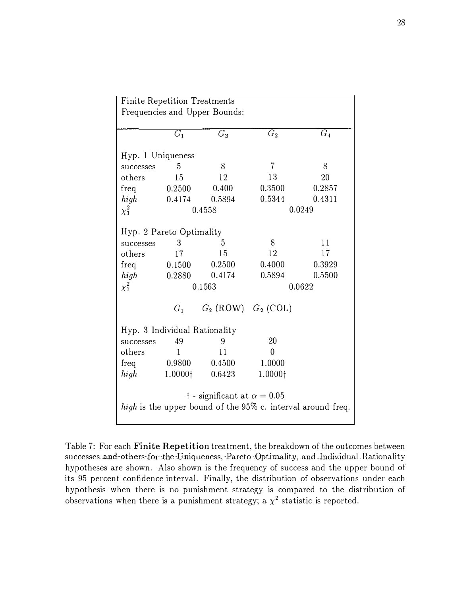|                                                             | <b>Finite Repetition Treatments</b> |                         |                |        |  |  |  |  |  |
|-------------------------------------------------------------|-------------------------------------|-------------------------|----------------|--------|--|--|--|--|--|
| Frequencies and Upper Bounds:                               |                                     |                         |                |        |  |  |  |  |  |
|                                                             |                                     |                         |                |        |  |  |  |  |  |
|                                                             | $G_1$                               | $G_3$                   | G <sub>2</sub> | $G_4$  |  |  |  |  |  |
| Hyp. 1 Uniqueness                                           |                                     |                         |                |        |  |  |  |  |  |
| successes                                                   | 5                                   | 8                       | $\overline{7}$ | 8      |  |  |  |  |  |
| others                                                      | 15                                  | 12                      | 13             | 20     |  |  |  |  |  |
| freq                                                        | 0.2500                              | 0.400                   | 0.3500         | 0.2857 |  |  |  |  |  |
| high                                                        | 0.4174                              | 0.5894                  | 0.5344         | 0.4311 |  |  |  |  |  |
| $\chi^2_1$                                                  |                                     | 0.4558                  |                | 0.0249 |  |  |  |  |  |
|                                                             |                                     |                         |                |        |  |  |  |  |  |
| Hyp. 2 Pareto Optimality                                    |                                     |                         |                |        |  |  |  |  |  |
| successes                                                   | 3                                   | 5                       | 8              | 11     |  |  |  |  |  |
| others                                                      | 17                                  | 15                      | 12             | 17     |  |  |  |  |  |
| freq                                                        | 0.1500                              | 0.2500                  | 0.4000         | 0.3929 |  |  |  |  |  |
| high                                                        | 0.2880                              | 0.4174                  | 0.5894         | 0.5500 |  |  |  |  |  |
| $\chi_1^2$                                                  |                                     | 0.1563                  |                | 0.0622 |  |  |  |  |  |
|                                                             | $G_1$                               | $G_2$ (ROW) $G_2$ (COL) |                |        |  |  |  |  |  |
| Hyp. 3 Individual Rationality                               |                                     |                         |                |        |  |  |  |  |  |
| successes                                                   | 49                                  | 9                       | 20             |        |  |  |  |  |  |
| others                                                      | $\mathbf{1}$                        | 11                      | $\overline{0}$ |        |  |  |  |  |  |
| freq                                                        | 0.9800                              | 0.4500                  | 1.0000         |        |  |  |  |  |  |
| high                                                        | 1.0000†                             | 0.6423                  | 1.0000†        |        |  |  |  |  |  |
|                                                             |                                     |                         |                |        |  |  |  |  |  |
| $\dagger$ - significant at $\alpha = 0.05$                  |                                     |                         |                |        |  |  |  |  |  |
| high is the upper bound of the 95% c. interval around freq. |                                     |                         |                |        |  |  |  |  |  |

Table 7: For each Finite Repetition treatment, the breakdown of the outcomes between successes and others-for-the Uniqueness, Pareto Optimality, and Individual Rationality hypotheses are shown. Also shown is the frequency of success and the upper bound of its 95 percent confidence interval. Finally, the distribution of observations under each hypothesis when there is no punishment strategy is compared to the distribution of observations when there is a punishment strategy; a  $\chi^2$  statistic is reported.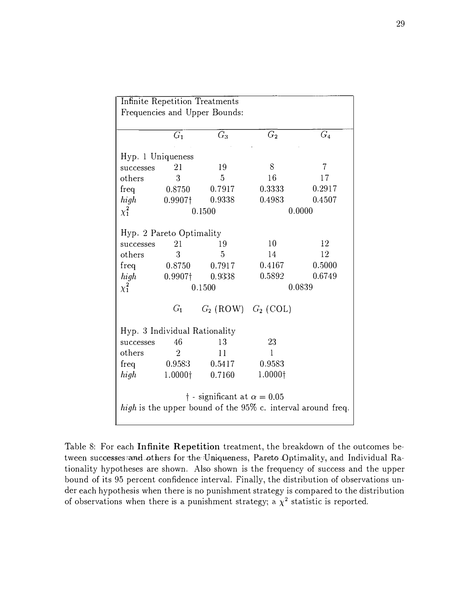|                                                                | <b>Infinite Repetition Treatments</b> |                                            |                 |        |  |  |  |  |  |
|----------------------------------------------------------------|---------------------------------------|--------------------------------------------|-----------------|--------|--|--|--|--|--|
| Frequencies and Upper Bounds:                                  |                                       |                                            |                 |        |  |  |  |  |  |
|                                                                |                                       |                                            |                 |        |  |  |  |  |  |
|                                                                | $\overline{G_1}$                      | $G_3$                                      | $G_{2}$         | $G_4$  |  |  |  |  |  |
|                                                                |                                       |                                            |                 |        |  |  |  |  |  |
| Hyp. 1 Uniqueness                                              |                                       |                                            |                 |        |  |  |  |  |  |
| successes                                                      | 21                                    | 19                                         | 8               | 7      |  |  |  |  |  |
| others                                                         | 3                                     | $\overline{5}$                             | 16              | 17     |  |  |  |  |  |
| freq                                                           | 0.8750                                | 0.7917                                     | 0.3333          | 0.2917 |  |  |  |  |  |
| high                                                           | 0.9907†                               | 0.9338                                     | 0.4983          | 0.4507 |  |  |  |  |  |
| $\chi^2_1$                                                     |                                       | 0.1500                                     |                 | 0.0000 |  |  |  |  |  |
|                                                                |                                       |                                            |                 |        |  |  |  |  |  |
| Hyp. 2 Pareto Optimality                                       |                                       |                                            |                 |        |  |  |  |  |  |
| successes                                                      | 21                                    | 19                                         | 10              | 12     |  |  |  |  |  |
| others                                                         | 3                                     | 5                                          | 14              | 12     |  |  |  |  |  |
| freq                                                           | 0.8750                                | 0.7917                                     | 0.4167          | 0.5000 |  |  |  |  |  |
| high                                                           | $0.9907\dagger$                       | 0.9338                                     | 0.5892          | 0.6749 |  |  |  |  |  |
| $\chi_1^2$                                                     |                                       | 0.1500                                     |                 | 0.0839 |  |  |  |  |  |
|                                                                |                                       |                                            |                 |        |  |  |  |  |  |
|                                                                | $G_1$                                 | $G_2$ (ROW) $G_2$ (COL)                    |                 |        |  |  |  |  |  |
|                                                                |                                       |                                            |                 |        |  |  |  |  |  |
| Hyp. 3 Individual Rationality                                  |                                       |                                            |                 |        |  |  |  |  |  |
| successes                                                      | 46                                    | 13                                         | 23              |        |  |  |  |  |  |
| others                                                         | $\overline{2}$                        | 11                                         | $\mathbf{1}$    |        |  |  |  |  |  |
| freq                                                           | 0.9583                                | 0.5417                                     | 0.9583          |        |  |  |  |  |  |
| high                                                           | 1.0000 <sup>†</sup>                   | 0.7160                                     | $1.0000\dagger$ |        |  |  |  |  |  |
|                                                                |                                       |                                            |                 |        |  |  |  |  |  |
|                                                                |                                       | $\dagger$ - significant at $\alpha = 0.05$ |                 |        |  |  |  |  |  |
|                                                                |                                       |                                            |                 |        |  |  |  |  |  |
| high is the upper bound of the $95\%$ c. interval around freq. |                                       |                                            |                 |        |  |  |  |  |  |

Table 8: For each Infinite Repetition treatment, the breakdown of the outcomes between successes and others for the Uniqueness, Pareto Optimality, and Individual Rationality hypotheses are shown. Also shown is the frequency of success and the upper bound of its 95 percent confidence interval. Finally, the distribution of observations under each hypothesis when there is no punishment strategy is compared to the distribution of observations when there is a punishment strategy; a  $\chi^2$  statistic is reported.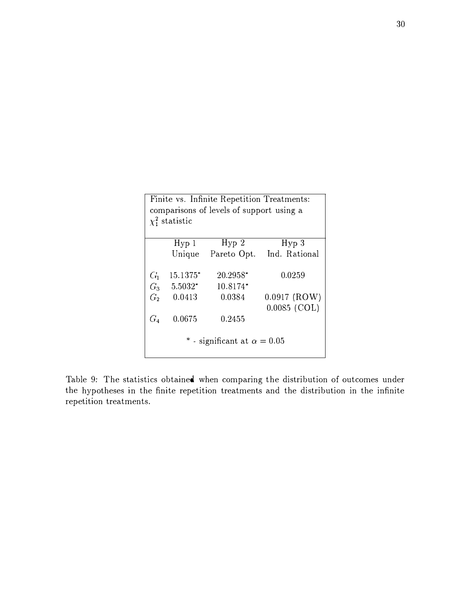| Finite vs. Infinite Repetition Treatments:<br>comparisons of levels of support using a<br>$\chi^2$ statistic |           |            |                                  |  |  |  |  |
|--------------------------------------------------------------------------------------------------------------|-----------|------------|----------------------------------|--|--|--|--|
|                                                                                                              | Hyp1      | Hyp2       | Hyp3                             |  |  |  |  |
|                                                                                                              |           |            | Unique Pareto Opt. Ind. Rational |  |  |  |  |
| G <sub>1</sub>                                                                                               | 15.1375*  | $20.2958*$ | 0.0259                           |  |  |  |  |
| $G_3$                                                                                                        | $5.5032*$ | $10.8174*$ |                                  |  |  |  |  |
| G <sub>2</sub>                                                                                               | 0.0413    | 0.0384     | $0.0917$ (ROW)<br>$0.0085$ (COL) |  |  |  |  |
| $G_4$                                                                                                        | 0.0675    | 0.2455     |                                  |  |  |  |  |
| * - significant at $\alpha = 0.05$                                                                           |           |            |                                  |  |  |  |  |

Table 9: The statistics obtained when comparing the distribution of outcomes under the hypotheses in the finite repetition treatments and the distribution in the infinite repetition treatments.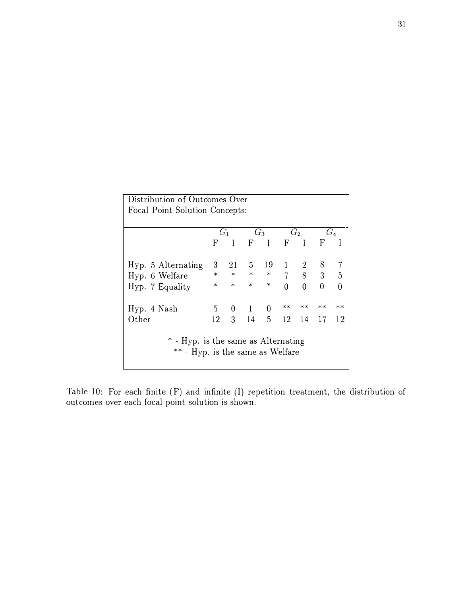| Distribution of Outcomes Over                                           |              |                |                    |       |                |                |                  |                |
|-------------------------------------------------------------------------|--------------|----------------|--------------------|-------|----------------|----------------|------------------|----------------|
| Focal Point Solution Concepts:                                          |              |                |                    |       |                |                |                  |                |
|                                                                         |              |                |                    |       |                |                |                  |                |
|                                                                         |              | $G_1$          | $G_3$ $G_2$        |       |                |                | $G_4$            |                |
|                                                                         | $\mathbf{F}$ | $\blacksquare$ | FIFIF              |       |                |                |                  |                |
| Hyp. 5 Alternating                                                      |              |                | 3 21 5 19 1 2 8 7  |       |                |                |                  |                |
| Hyp. 6 Welfare                                                          |              |                | * * * * 7 8 3 5    |       |                |                |                  |                |
| Hyp. 7 Equality                                                         | $\ast$       | $\ast$         |                    | $*$ * | $\overline{0}$ | $\overline{0}$ | $\boldsymbol{0}$ | $\overline{0}$ |
| Hyp. 4 Nash                                                             |              |                | 5 0 1 0            |       | $***$          | $***$          | $***$            | $**$           |
| Other                                                                   | 12           |                | 3 14 5 12 14 17 12 |       |                |                |                  |                |
| * - Hyp. is the same as Alternating<br>** - Hyp. is the same as Welfare |              |                |                    |       |                |                |                  |                |

Table 10: For each finite (F) and infinite (I) repetition treatment, the distribution of outcomes over each focal point solution is shown.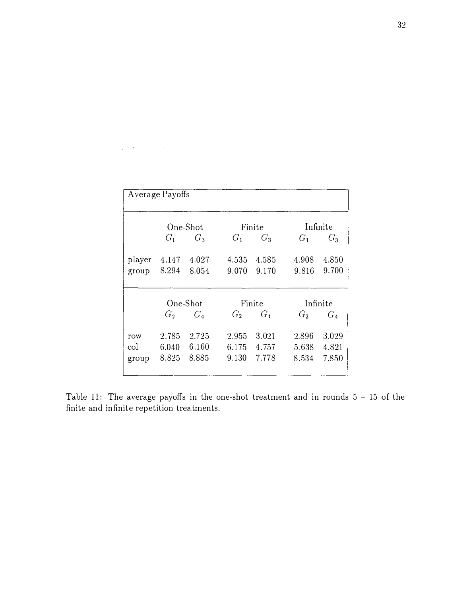| Average Payoffs |                |          |       |        |                |          |  |  |
|-----------------|----------------|----------|-------|--------|----------------|----------|--|--|
|                 |                | One-Shot |       | Finite |                | Infinite |  |  |
|                 | $G_1$          | $G_3$    | $G_1$ | $G_3$  | $G_1$          | $G_3$    |  |  |
| player          | 4.147          | 4.027    | 4.535 | 4.585  | 4.908          | 4.850    |  |  |
| group           | 8.294          | 8.054    | 9.070 | 9.170  | 9.816          | 9.700    |  |  |
|                 |                | One-Shot |       | Finite |                | Infinite |  |  |
|                 | G <sub>2</sub> | $G_4$    | $G_2$ | $G_4$  | G <sub>2</sub> | $G_4$    |  |  |
| row             | 2.785          | 2.725    | 2.955 | 3.021  | 2.896          | 3.029    |  |  |
| col·            | 6.040          | 6.160    | 6.175 | 4.757  | 5.638          | 4.821    |  |  |
| group           | 8.825          | 8.885    | 9.130 | 7.778  | 8.534          | 7.850    |  |  |

 $\label{eq:2.1} \frac{1}{\sqrt{2\pi}}\left(\frac{1}{\sqrt{2\pi}}\right)^{2} \left(\frac{1}{\sqrt{2\pi}}\right)^{2} \left(\frac{1}{\sqrt{2\pi}}\right)^{2} \left(\frac{1}{\sqrt{2\pi}}\right)^{2} \left(\frac{1}{\sqrt{2\pi}}\right)^{2} \left(\frac{1}{\sqrt{2\pi}}\right)^{2} \left(\frac{1}{\sqrt{2\pi}}\right)^{2} \left(\frac{1}{\sqrt{2\pi}}\right)^{2} \left(\frac{1}{\sqrt{2\pi}}\right)^{2} \left(\frac{1}{\sqrt{2\pi}}\right)^{2$ 

Table 11: The average payoffs in the one-shot treatment and in rounds  $5 - 15$  of the finite and infinite repetition treatments.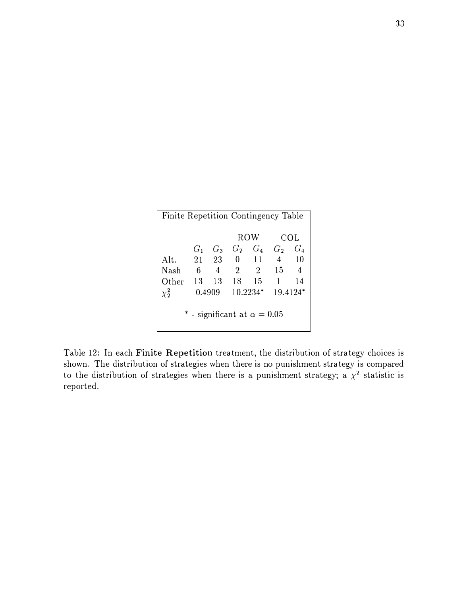| Finite Repetition Contingency Table                       |       |                |                |                |                |       |
|-----------------------------------------------------------|-------|----------------|----------------|----------------|----------------|-------|
|                                                           |       |                |                | ROW            |                | COL   |
|                                                           | $G_1$ | $G_3$          |                | $G_2$ $G_4$    | G <sub>2</sub> | $G_4$ |
| Alt.                                                      | 21    | - 23           | $\Omega$       | $\frac{11}{2}$ | $\overline{4}$ | -10   |
| Nash                                                      | 6     | $\overline{4}$ | $\overline{2}$ | $\overline{2}$ | 15             | 4     |
| Other                                                     | 13    | 13             | - 18           | 15             | $\mathbf{1}$   | 14    |
| $\chi^2$                                                  |       |                |                |                | 19.4124*       |       |
| $0.4909$ $10.2234*$<br>* - significant at $\alpha = 0.05$ |       |                |                |                |                |       |

Table 12: In each Finite Repetition treatment, the distribution of strategy choices is shown. The distribution of strategies when there is no punishment strategy is compared to the distribution of strategies when there is a punishment strategy; a  $\chi^2$  statistic is reported.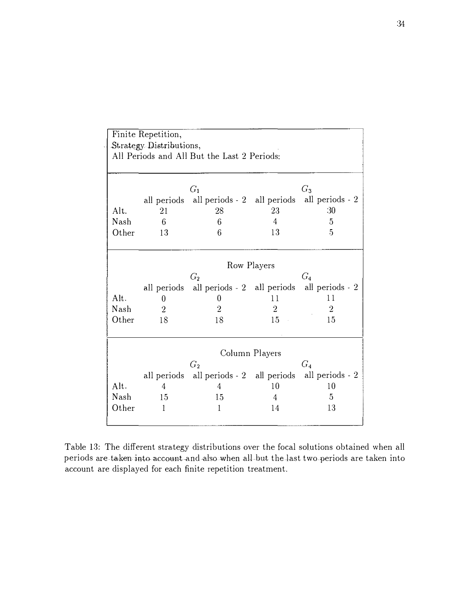|       | Finite Repetition,                          |                                                         |                |                |  |  |  |  |  |
|-------|---------------------------------------------|---------------------------------------------------------|----------------|----------------|--|--|--|--|--|
|       | Strategy Distributions,                     |                                                         |                |                |  |  |  |  |  |
|       | All Periods and All But the Last 2 Periods: |                                                         |                |                |  |  |  |  |  |
|       |                                             |                                                         |                |                |  |  |  |  |  |
|       |                                             |                                                         |                |                |  |  |  |  |  |
|       |                                             | $G_1$                                                   |                | $G_3$          |  |  |  |  |  |
|       |                                             | all periods all periods - 2 all periods all periods - 2 |                |                |  |  |  |  |  |
| Alt.  | 21                                          | 28                                                      | 23             | :30            |  |  |  |  |  |
| Nash  | 6                                           | 6                                                       | $\overline{4}$ | 5              |  |  |  |  |  |
| Other | 13                                          | 6                                                       | 13             | 5              |  |  |  |  |  |
|       |                                             |                                                         |                |                |  |  |  |  |  |
|       |                                             |                                                         |                |                |  |  |  |  |  |
|       |                                             |                                                         | Row Players    |                |  |  |  |  |  |
|       |                                             | G <sub>2</sub>                                          |                | $G_4$          |  |  |  |  |  |
|       |                                             | all periods all periods - 2 all periods all periods - 2 |                |                |  |  |  |  |  |
| Alt.  | $\theta$                                    | 0                                                       | 11             | 11             |  |  |  |  |  |
| Nash  | $\overline{2}$                              | $\overline{2}$                                          | $\overline{2}$ | $\overline{2}$ |  |  |  |  |  |
| Other | 18                                          | 18                                                      | 15             | 15             |  |  |  |  |  |
|       |                                             |                                                         |                |                |  |  |  |  |  |
|       |                                             |                                                         |                |                |  |  |  |  |  |
|       |                                             |                                                         | Column Players |                |  |  |  |  |  |
|       |                                             | G <sub>2</sub>                                          |                | $G_4$          |  |  |  |  |  |
|       |                                             | all periods all periods - 2 all periods all periods - 2 |                |                |  |  |  |  |  |
| Alt.  | 4                                           | 4                                                       | 10             | 10             |  |  |  |  |  |
| Nash  | 15                                          | 15                                                      | 4              | 5              |  |  |  |  |  |
| Other | 1                                           | 1                                                       | 14             | 13             |  |  |  |  |  |
|       |                                             |                                                         |                |                |  |  |  |  |  |

Table 13: The different strategy distributions over the focal solutions obtained when all periods are taken into account and also when all but the last two periods are taken into account are displayed for each finite repetition treatment.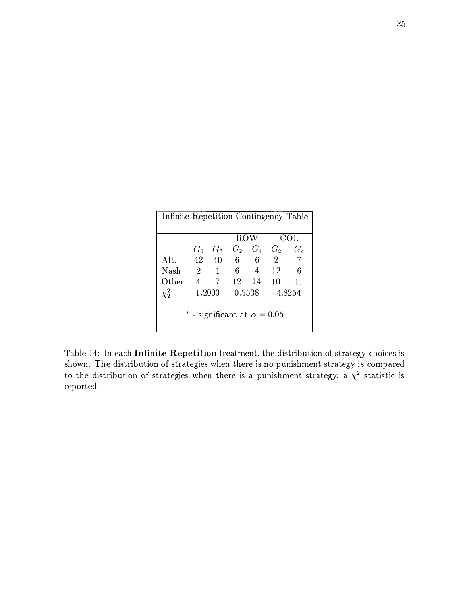| Infinite Repetition Contingency Table |                |       |                      |                |                |                |  |
|---------------------------------------|----------------|-------|----------------------|----------------|----------------|----------------|--|
|                                       |                |       | $\overline{Row}$     |                | COL            |                |  |
|                                       | $G_1$          | $G_3$ | $G_2$ $G_4$          |                |                | $G_2$ $G_4$    |  |
| Alt.                                  |                | 42 40 | 6 6                  |                | $\overline{2}$ | $\overline{7}$ |  |
| Nash                                  | $\overline{2}$ | 1     | 6.                   | $\overline{4}$ | 12             | 6              |  |
| Other                                 | $\overline{4}$ | 7     | 12                   | 14             | <sup>10</sup>  | 11             |  |
| $\chi^2$                              |                |       | 1.2003 0.5538 4.8254 |                |                |                |  |
| * - significant at $\alpha = 0.05$    |                |       |                      |                |                |                |  |

Table 14: In each Infinite Repetition treatment, the distribution of strategy choices is shown. The distribution of strategies when there is no punishment strategy is compared to the distribution of strategies when there is a punishment strategy; a  $\chi^2$  statistic is reported.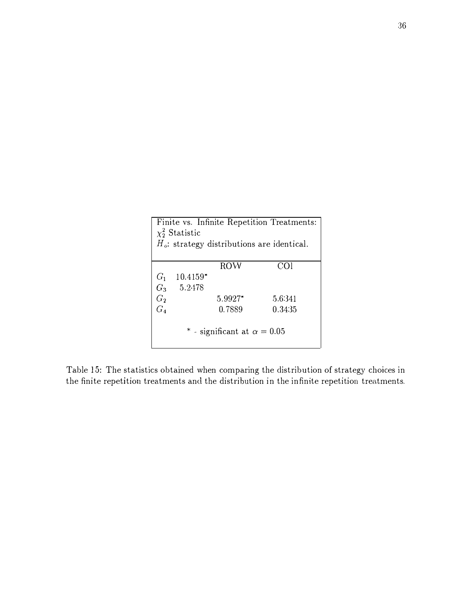| Finite vs. Infinite Repetition Treatments:    |            |         |         |  |  |  |  |
|-----------------------------------------------|------------|---------|---------|--|--|--|--|
| $\chi^2$ Statistic                            |            |         |         |  |  |  |  |
| $H_o$ : strategy distributions are identical. |            |         |         |  |  |  |  |
|                                               |            |         |         |  |  |  |  |
|                                               |            | ROW     | COI     |  |  |  |  |
| $G_1$                                         | $10.4159*$ |         |         |  |  |  |  |
| $G_3$                                         | 5.2478     |         |         |  |  |  |  |
| G <sub>2</sub>                                |            | 5.9927* | 5.6341  |  |  |  |  |
| $G_4$                                         |            | 0.7889  | 0.34.35 |  |  |  |  |
|                                               |            |         |         |  |  |  |  |
| * - significant at $\alpha = 0.05$            |            |         |         |  |  |  |  |
|                                               |            |         |         |  |  |  |  |

Table 15: The statistics obtained when comparing the distribution of strategy choices in the finite repetition treatments and the distribution in the infinite repetition treatments.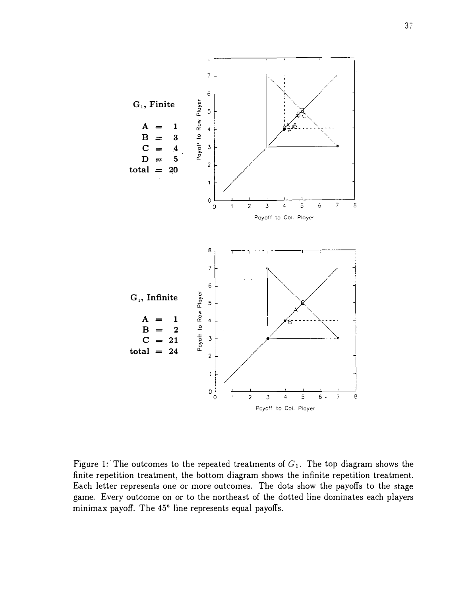

Figure 1: The outcomes to the repeated treatments of  $G_1$ . The top diagram shows the finite repetition treatment, the bottom diagram shows the infinite repetition treatment. Each letter represents one or more outcomes. The dots show the payoffs to the stage game. Every outcome on or to the northeast of the dotted line dominates each players minimax payoff. The 45° line represents equal payoffs.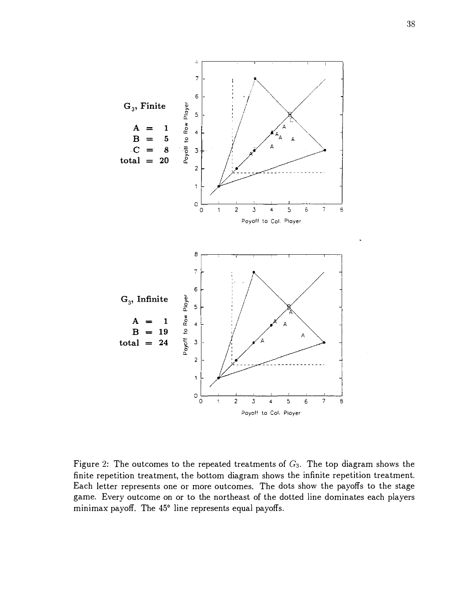

Figure 2: The outcomes to the repeated treatments of  $G_3$ . The top diagram shows the finite repetition treatment, the bottom diagram shows the infinite repetition treatment. Each letter represents one or more outcomes. The dots show the payoffs to the stage game. Every outcome on or to the northeast of the dotted line dominates each players minimax payoff. The 45° line represents equal payoffs.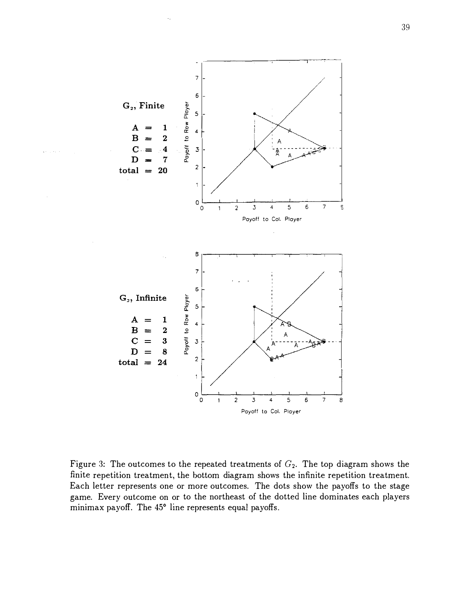

Figure 3: The outcomes to the repeated treatments of  $G_2$ . The top diagram shows the finite repetition treatment, the bottom diagram shows the infinite repetition treatment. Each letter represents one or more outcomes. The dots show the payoffs to the stage game. Every outcome on or to the northeast of the dotted line dominates each players minimax payoff. The 45° line represents equal payoffs.